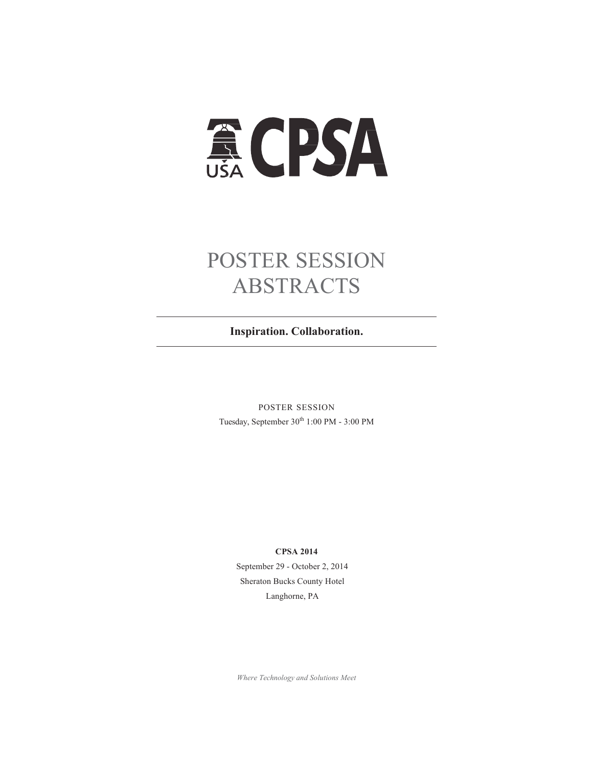# **ACPSA**

# POSTER SESSION ABSTRACTS

**Inspiration. Collaboration.**

POSTER SESSION Tuesday, September  $30^{\rm th}$  1:00 PM -  $3:00$  PM

#### **CPSA 2014**

September 29 - October 2, 2014 Sheraton Bucks County Hotel Langhorne, PA

*Where Technology and Solutions Meet*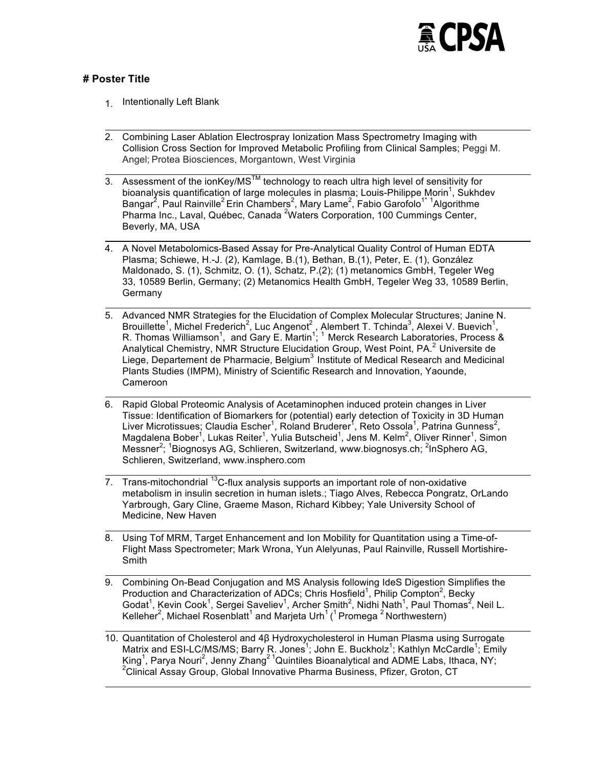

#### **# Poster Title**

- 1. Intentionally Left Blank
- 2. Combining Laser Ablation Electrospray Ionization Mass Spectrometry Imaging with Collision Cross Section for Improved Metabolic Profiling from Clinical Samples; Peggi M. Angel; Protea Biosciences, Morgantown, West Virginia
- 3. Assessment of the ionKey/MS $^{TM}$  technology to reach ultra high level of sensitivity for bioanalysis quantification of large molecules in plasma; Louis-Philippe Morin<sup>1</sup>, Sukhdev Bangar<sup>2</sup>, Paul Rainville<sup>2</sup> Erin Chambers<sup>2</sup>, Mary Lame<sup>2</sup>, Fabio Garofolo<sup>1\* 1</sup>Algorithme Pharma Inc., Laval, Québec, Canada <sup>2</sup>Waters Corporation, 100 Cummings Center, Beverly, MA, USA
- 4. A Novel Metabolomics-Based Assay for Pre-Analytical Quality Control of Human EDTA Plasma; Schiewe, H.-J. (2), Kamlage, B.(1), Bethan, B.(1), Peter, E. (1), González Maldonado, S. (1), Schmitz, O. (1), Schatz, P.(2); (1) metanomics GmbH, Tegeler Weg 33, 10589 Berlin, Germany; (2) Metanomics Health GmbH, Tegeler Weg 33, 10589 Berlin, **Germany**
- 5. Advanced NMR Strategies for the Elucidation of Complex Molecular Structures; Janine N. Brouillette<sup>1</sup>, Michel Frederich<sup>2</sup>, Luc Angenot<sup>2</sup>, Alembert T. Tchinda<sup>3</sup>, Alexei V. Buevich<sup>1</sup>, R. Thomas Williamson<sup>1</sup>, and Gary E. Martin<sup>1</sup>; <sup>1</sup> Merck Research Laboratories, Process & Analytical Chemistry, NMR Structure Elucidation Group, West Point, PA.<sup>2</sup> Universite de Liege, Departement de Pharmacie, Belgium<sup>3</sup> Institute of Medical Research and Medicinal Plants Studies (IMPM), Ministry of Scientific Research and Innovation, Yaounde, Cameroon
- 6. Rapid Global Proteomic Analysis of Acetaminophen induced protein changes in Liver Tissue: Identification of Biomarkers for (potential) early detection of Toxicity in 3D Human Liver Microtissues; Claudia Escher<sup>1</sup>, Roland Bruderer<sup>1</sup>, Reto Ossola<sup>1</sup>, Patrina Gunness<sup>2</sup>, Magdalena Bober<sup>1</sup>, Lukas Reiter<sup>1</sup>, Yulia Butscheid<sup>1</sup>, Jens M. Kelm<sup>2</sup>, Oliver Rinner<sup>1</sup>, Simon Messner<sup>2</sup>; <sup>1</sup>Biognosys AG, Schlieren, Switzerland, www.biognosys.ch; <sup>2</sup>InSphero AG, Schlieren, Switzerland, www.insphero.com
- $\overline{7}$ . Trans-mitochondrial  $^{13}$ C-flux analysis supports an important role of non-oxidative metabolism in insulin secretion in human islets.; Tiago Alves, Rebecca Pongratz, OrLando Yarbrough, Gary Cline, Graeme Mason, Richard Kibbey; Yale University School of Medicine, New Haven
- 8. Using Tof MRM, Target Enhancement and Ion Mobility for Quantitation using a Time-of-Flight Mass Spectrometer; Mark Wrona, Yun Alelyunas, Paul Rainville, Russell Mortishire-**Smith**
- 9. Combining On-Bead Conjugation and MS Analysis following IdeS Digestion Simplifies the Production and Characterization of ADCs; Chris Hosfield<sup>1</sup>, Philip Compton<sup>2</sup>, Becky Godat<sup>1</sup>, Kevin Cook<sup>1</sup>, Sergei Saveliev<sup>1</sup>, Archer Smith<sup>2</sup>, Nidhi Nath<sup>1</sup>, Paul Thomas<sup>2</sup>, Neil L. Kelleher<sup>2</sup>, Michael Rosenblatt<sup>1</sup> and Marjeta Urh<sup>1</sup> (<sup>1</sup> Promega <sup>2</sup> Northwestern)

10. Quantitation of Cholesterol and 4β Hydroxycholesterol in Human Plasma using Surrogate Matrix and ESI-LC/MS/MS; Barry R. Jones<sup>1</sup>; John E. Buckholz<sup>1</sup>; Kathlyn McCardle<sup>1</sup>; Emily King<sup>1</sup>, Parya Nouri<sup>2</sup>, Jenny Zhang<sup>21</sup>Quintiles Bioanalytical and ADME Labs, Ithaca, NY;<br><sup>2</sup>Clinical Assay Craup, Clabel Innovative Pharma Business, Pfizer, Crates, CT <sup>2</sup>Clinical Assay Group, Global Innovative Pharma Business, Pfizer, Groton, CT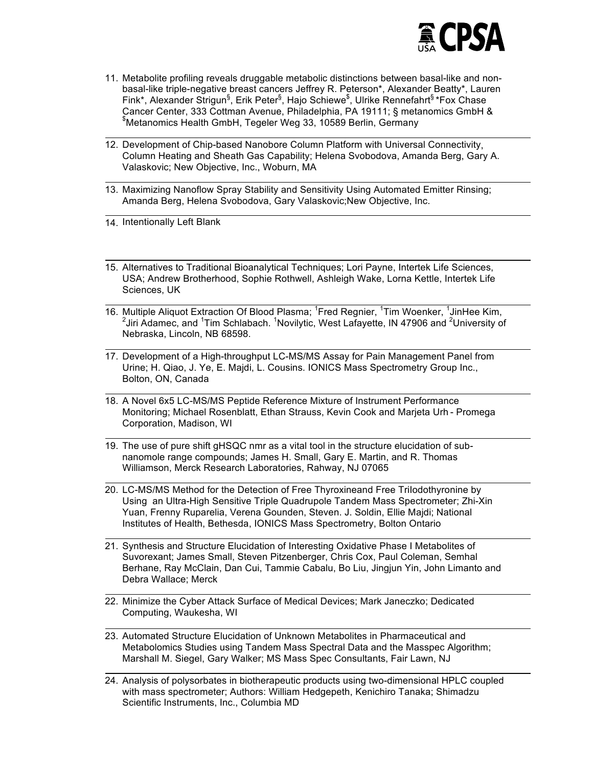

- 11. Metabolite profiling reveals druggable metabolic distinctions between basal-like and nonbasal-like triple-negative breast cancers Jeffrey R. Peterson\*, Alexander Beatty\*, Lauren Fink\*, Alexander Strigun<sup>§</sup>, Erik Peter<sup>§</sup>, Hajo Schiewe<sup>\$</sup>, Ulrike Rennefahrt<sup>§</sup> \*Fox Chase Cancer Center, 333 Cottman Avenue, Philadelphia, PA 19111; § metanomics GmbH & \$ Metanomics Health GmbH, Tegeler Weg 33, 10589 Berlin, Germany
- 12. Development of Chip-based Nanobore Column Platform with Universal Connectivity, Column Heating and Sheath Gas Capability; Helena Svobodova, Amanda Berg, Gary A. Valaskovic; New Objective, Inc., Woburn, MA
- 13. Maximizing Nanoflow Spray Stability and Sensitivity Using Automated Emitter Rinsing; Amanda Berg, Helena Svobodova, Gary Valaskovic;New Objective, Inc.

14. Intentionally Left Blank

- 15. Alternatives to Traditional Bioanalytical Techniques; Lori Payne, Intertek Life Sciences, USA; Andrew Brotherhood, Sophie Rothwell, Ashleigh Wake, Lorna Kettle, Intertek Life Sciences, UK
- 16. Multiple Aliquot Extraction Of Blood Plasma; <sup>1</sup>Fred Regnier, <sup>1</sup>Tim Woenker, <sup>1</sup>JinHee Kim,  $^2$ Jiri Adamec, and <sup>1</sup>Tim Schlabach. <sup>1</sup>Novilytic, West Lafayette, IN 47906 and <sup>2</sup>University of Nebraska, Lincoln, NB 68598.
- 17. Development of a High-throughput LC-MS/MS Assay for Pain Management Panel from Urine; H. Qiao, J. Ye, E. Majdi, L. Cousins. IONICS Mass Spectrometry Group Inc., Bolton, ON, Canada
- 18. A Novel 6x5 LC-MS/MS Peptide Reference Mixture of Instrument Performance Monitoring; Michael Rosenblatt, Ethan Strauss, Kevin Cook and Marjeta Urh - Promega Corporation, Madison, WI
- 19. The use of pure shift gHSQC nmr as a vital tool in the structure elucidation of subnanomole range compounds; James H. Small, Gary E. Martin, and R. Thomas Williamson, Merck Research Laboratories, Rahway, NJ 07065
- 20. LC-MS/MS Method for the Detection of Free Thyroxineand Free TriIodothyronine by Using an Ultra-High Sensitive Triple Quadrupole Tandem Mass Spectrometer; Zhi-Xin Yuan, Frenny Ruparelia, Verena Gounden, Steven. J. Soldin, Ellie Majdi; National Institutes of Health, Bethesda, IONICS Mass Spectrometry, Bolton Ontario
- 21. Synthesis and Structure Elucidation of Interesting Oxidative Phase I Metabolites of Suvorexant; James Small, Steven Pitzenberger, Chris Cox, Paul Coleman, Semhal Berhane, Ray McClain, Dan Cui, Tammie Cabalu, Bo Liu, Jingjun Yin, John Limanto and Debra Wallace; Merck
- 22. Minimize the Cyber Attack Surface of Medical Devices; Mark Janeczko; Dedicated Computing, Waukesha, WI
- 23. Automated Structure Elucidation of Unknown Metabolites in Pharmaceutical and Metabolomics Studies using Tandem Mass Spectral Data and the Masspec Algorithm; Marshall M. Siegel, Gary Walker; MS Mass Spec Consultants, Fair Lawn, NJ
- 24. Analysis of polysorbates in biotherapeutic products using two-dimensional HPLC coupled with mass spectrometer; Authors: William Hedgepeth, Kenichiro Tanaka; Shimadzu Scientific Instruments, Inc., Columbia MD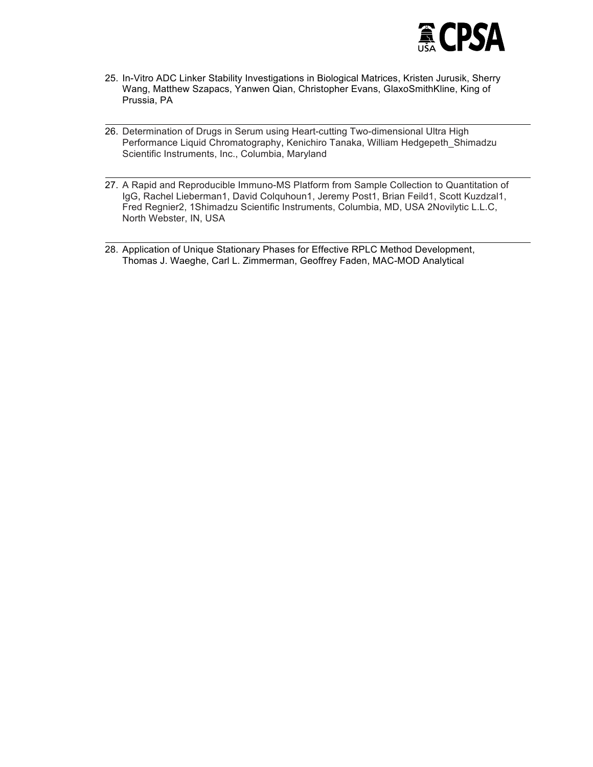

- 25. In-Vitro ADC Linker Stability Investigations in Biological Matrices, Kristen Jurusik, Sherry Wang, Matthew Szapacs, Yanwen Qian, Christopher Evans, GlaxoSmithKline, King of Prussia, PA
- 26. Determination of Drugs in Serum using Heart-cutting Two-dimensional Ultra High Performance Liquid Chromatography, Kenichiro Tanaka, William Hedgepeth\_Shimadzu Scientific Instruments, Inc., Columbia, Maryland
- 27. A Rapid and Reproducible Immuno-MS Platform from Sample Collection to Quantitation of IgG, Rachel Lieberman1, David Colquhoun1, Jeremy Post1, Brian Feild1, Scott Kuzdzal1, Fred Regnier2, 1Shimadzu Scientific Instruments, Columbia, MD, USA 2Novilytic L.L.C, North Webster, IN, USA
- 28. Application of Unique Stationary Phases for Effective RPLC Method Development, Thomas J. Waeghe, Carl L. Zimmerman, Geoffrey Faden, MAC-MOD Analytical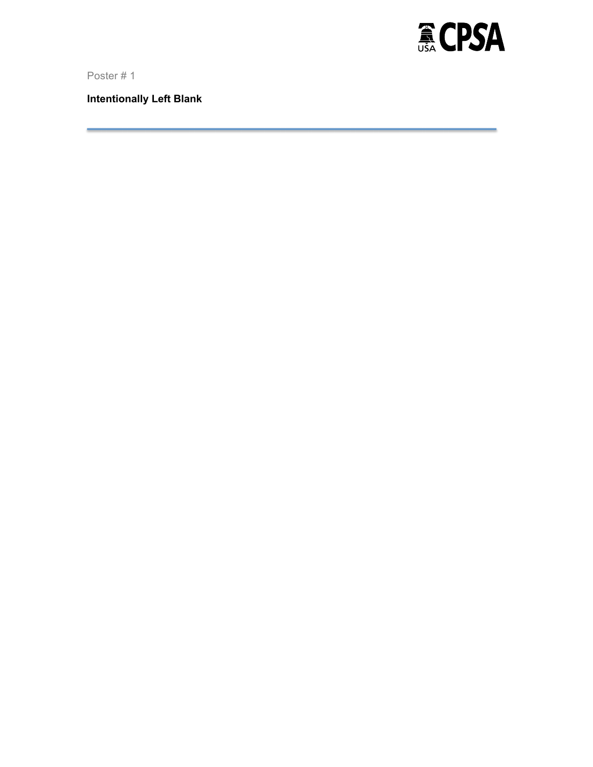

**Intentionally Left Blank**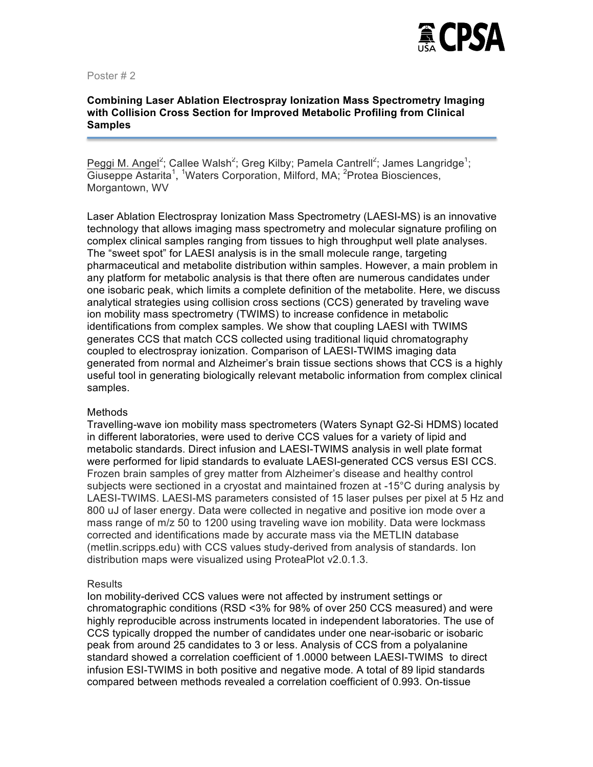

# **Combining Laser Ablation Electrospray Ionization Mass Spectrometry Imaging with Collision Cross Section for Improved Metabolic Profiling from Clinical Samples**

Peggi M. Angel<sup>2</sup>; Callee Walsh<sup>2</sup>; Greg Kilby; Pamela Cantrell<sup>2</sup>; James Langridge<sup>1</sup>; Giuseppe Astarita<sup>1</sup>, <sup>1</sup>Waters Corporation, Milford, MA; <sup>2</sup>Protea Biosciences, Morgantown, WV

Laser Ablation Electrospray Ionization Mass Spectrometry (LAESI-MS) is an innovative technology that allows imaging mass spectrometry and molecular signature profiling on complex clinical samples ranging from tissues to high throughput well plate analyses. The "sweet spot" for LAESI analysis is in the small molecule range, targeting pharmaceutical and metabolite distribution within samples. However, a main problem in any platform for metabolic analysis is that there often are numerous candidates under one isobaric peak, which limits a complete definition of the metabolite. Here, we discuss analytical strategies using collision cross sections (CCS) generated by traveling wave ion mobility mass spectrometry (TWIMS) to increase confidence in metabolic identifications from complex samples. We show that coupling LAESI with TWIMS generates CCS that match CCS collected using traditional liquid chromatography coupled to electrospray ionization. Comparison of LAESI-TWIMS imaging data generated from normal and Alzheimer's brain tissue sections shows that CCS is a highly useful tool in generating biologically relevant metabolic information from complex clinical samples.

#### Methods

Travelling-wave ion mobility mass spectrometers (Waters Synapt G2-Si HDMS) located in different laboratories, were used to derive CCS values for a variety of lipid and metabolic standards. Direct infusion and LAESI-TWIMS analysis in well plate format were performed for lipid standards to evaluate LAESI-generated CCS versus ESI CCS. Frozen brain samples of grey matter from Alzheimer's disease and healthy control subjects were sectioned in a cryostat and maintained frozen at -15°C during analysis by LAESI-TWIMS. LAESI-MS parameters consisted of 15 laser pulses per pixel at 5 Hz and 800 uJ of laser energy. Data were collected in negative and positive ion mode over a mass range of m/z 50 to 1200 using traveling wave ion mobility. Data were lockmass corrected and identifications made by accurate mass via the METLIN database (metlin.scripps.edu) with CCS values study-derived from analysis of standards. Ion distribution maps were visualized using ProteaPlot v2.0.1.3.

# **Results**

Ion mobility-derived CCS values were not affected by instrument settings or chromatographic conditions (RSD <3% for 98% of over 250 CCS measured) and were highly reproducible across instruments located in independent laboratories. The use of CCS typically dropped the number of candidates under one near-isobaric or isobaric peak from around 25 candidates to 3 or less. Analysis of CCS from a polyalanine standard showed a correlation coefficient of 1.0000 between LAESI-TWIMS to direct infusion ESI-TWIMS in both positive and negative mode. A total of 89 lipid standards compared between methods revealed a correlation coefficient of 0.993. On-tissue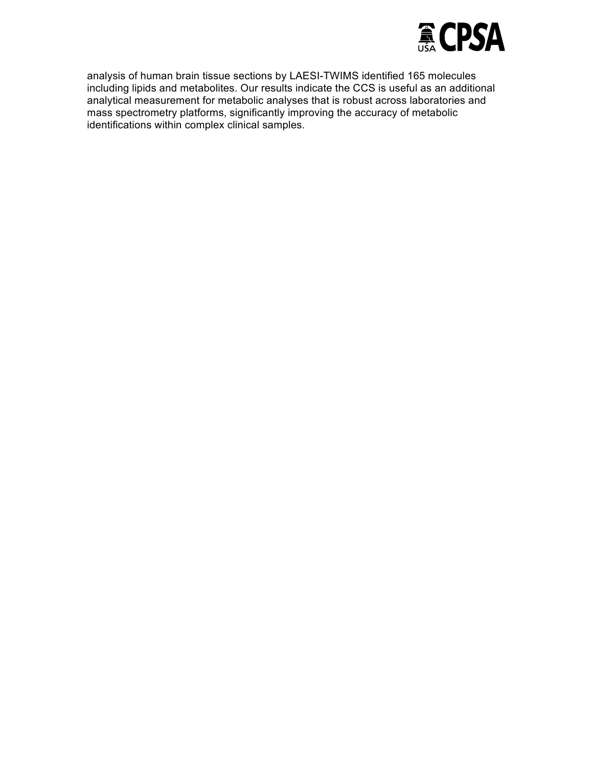

analysis of human brain tissue sections by LAESI-TWIMS identified 165 molecules including lipids and metabolites. Our results indicate the CCS is useful as an additional analytical measurement for metabolic analyses that is robust across laboratories and mass spectrometry platforms, significantly improving the accuracy of metabolic identifications within complex clinical samples.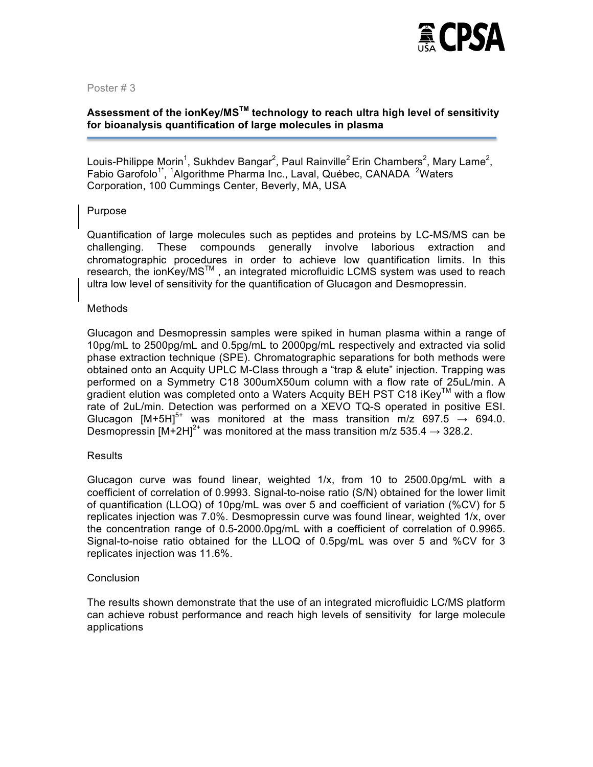

# **Assessment of the ionKey/MSTM technology to reach ultra high level of sensitivity for bioanalysis quantification of large molecules in plasma**

Louis-Philippe Morin<sup>1</sup>, Sukhdev Bangar<sup>2</sup>, Paul Rainville<sup>2</sup> Erin Chambers<sup>2</sup>, Mary Lame<sup>2</sup>, Fabio Garofolo<sup>1\*</sup>, <sup>1</sup>Algorithme Pharma Inc., Laval, Québec, CANADA <sup>2</sup>Waters Corporation, 100 Cummings Center, Beverly, MA, USA

# Purpose

Quantification of large molecules such as peptides and proteins by LC-MS/MS can be challenging. These compounds generally involve laborious extraction and chromatographic procedures in order to achieve low quantification limits. In this research, the ionKey/MS<sup>™</sup>, an integrated microfluidic LCMS system was used to reach ultra low level of sensitivity for the quantification of Glucagon and Desmopressin.

#### **Methods**

Glucagon and Desmopressin samples were spiked in human plasma within a range of 10pg/mL to 2500pg/mL and 0.5pg/mL to 2000pg/mL respectively and extracted via solid phase extraction technique (SPE). Chromatographic separations for both methods were obtained onto an Acquity UPLC M-Class through a "trap & elute" injection. Trapping was performed on a Symmetry C18 300umX50um column with a flow rate of 25uL/min. A gradient elution was completed onto a Waters Acquity BEH PST C18 iKey<sup>TM</sup> with a flow rate of 2uL/min. Detection was performed on a XEVO TQ-S operated in positive ESI. Glucagon  $[M+5H]^{5+}$  was monitored at the mass transition m/z 697.5  $\rightarrow$  694.0. Desmopressin  $[M+2H]<sup>2+</sup>$  was monitored at the mass transition m/z 535.4  $\rightarrow$  328.2.

#### Results

Glucagon curve was found linear, weighted  $1/x$ , from 10 to 2500.0pg/mL with a coefficient of correlation of 0.9993. Signal-to-noise ratio (S/N) obtained for the lower limit of quantification (LLOQ) of 10pg/mL was over 5 and coefficient of variation (%CV) for 5 replicates injection was 7.0%. Desmopressin curve was found linear, weighted 1/x, over the concentration range of 0.5-2000.0pg/mL with a coefficient of correlation of 0.9965. Signal-to-noise ratio obtained for the LLOQ of 0.5pg/mL was over 5 and %CV for 3 replicates injection was 11.6%.

#### **Conclusion**

The results shown demonstrate that the use of an integrated microfluidic LC/MS platform can achieve robust performance and reach high levels of sensitivity for large molecule applications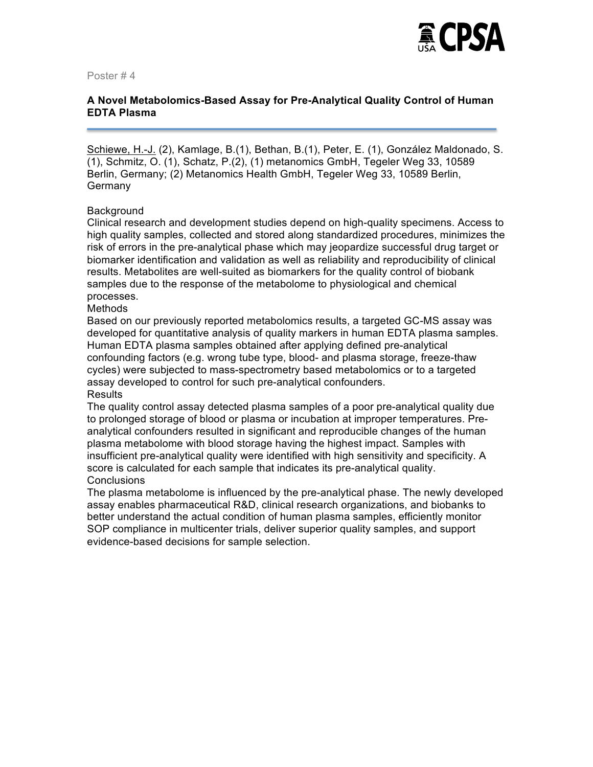

# **A Novel Metabolomics-Based Assay for Pre-Analytical Quality Control of Human EDTA Plasma**

Schiewe, H.-J. (2), Kamlage, B.(1), Bethan, B.(1), Peter, E. (1), González Maldonado, S. (1), Schmitz, O. (1), Schatz, P.(2), (1) metanomics GmbH, Tegeler Weg 33, 10589 Berlin, Germany; (2) Metanomics Health GmbH, Tegeler Weg 33, 10589 Berlin, **Germany** 

#### **Background**

Clinical research and development studies depend on high-quality specimens. Access to high quality samples, collected and stored along standardized procedures, minimizes the risk of errors in the pre-analytical phase which may jeopardize successful drug target or biomarker identification and validation as well as reliability and reproducibility of clinical results. Metabolites are well-suited as biomarkers for the quality control of biobank samples due to the response of the metabolome to physiological and chemical processes.

**Methods** 

Based on our previously reported metabolomics results, a targeted GC-MS assay was developed for quantitative analysis of quality markers in human EDTA plasma samples. Human EDTA plasma samples obtained after applying defined pre-analytical confounding factors (e.g. wrong tube type, blood- and plasma storage, freeze-thaw cycles) were subjected to mass-spectrometry based metabolomics or to a targeted assay developed to control for such pre-analytical confounders. **Results** 

The quality control assay detected plasma samples of a poor pre-analytical quality due to prolonged storage of blood or plasma or incubation at improper temperatures. Preanalytical confounders resulted in significant and reproducible changes of the human plasma metabolome with blood storage having the highest impact. Samples with insufficient pre-analytical quality were identified with high sensitivity and specificity. A score is calculated for each sample that indicates its pre-analytical quality. **Conclusions** 

The plasma metabolome is influenced by the pre-analytical phase. The newly developed assay enables pharmaceutical R&D, clinical research organizations, and biobanks to better understand the actual condition of human plasma samples, efficiently monitor SOP compliance in multicenter trials, deliver superior quality samples, and support evidence-based decisions for sample selection.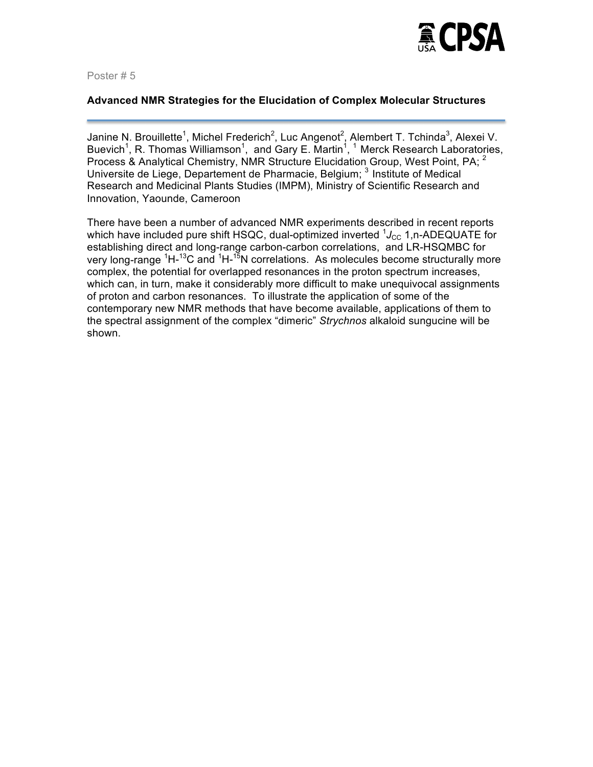

#### **Advanced NMR Strategies for the Elucidation of Complex Molecular Structures**

Janine N. Brouillette<sup>1</sup>, Michel Frederich<sup>2</sup>, Luc Angenot<sup>2</sup>, Alembert T. Tchinda<sup>3</sup>, Alexei V. Buevich<sup>1</sup>, R. Thomas Williamson<sup>1</sup>, and Gary E. Martin<sup>1</sup>, <sup>1</sup> Merck Research Laboratories, Process & Analytical Chemistry, NMR Structure Elucidation Group, West Point, PA; <sup>2</sup> Universite de Liege, Departement de Pharmacie, Belgium; <sup>3</sup> Institute of Medical Research and Medicinal Plants Studies (IMPM), Ministry of Scientific Research and Innovation, Yaounde, Cameroon

There have been a number of advanced NMR experiments described in recent reports which have included pure shift HSQC, dual-optimized inverted <sup>1</sup>J<sub>CC</sub> 1,n-ADEQUATE for establishing direct and long-range carbon-carbon correlations, and LR-HSQMBC for very long-range <sup>1</sup>H-<sup>13</sup>C and <sup>1</sup>H-<sup>15</sup>N correlations. As molecules become structurally more complex, the potential for overlapped resonances in the proton spectrum increases, which can, in turn, make it considerably more difficult to make unequivocal assignments of proton and carbon resonances. To illustrate the application of some of the contemporary new NMR methods that have become available, applications of them to the spectral assignment of the complex "dimeric" *Strychnos* alkaloid sungucine will be shown.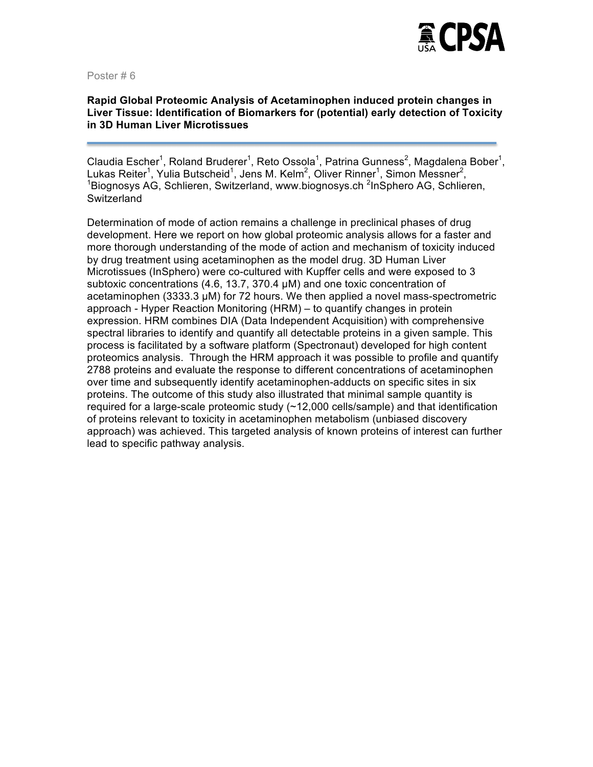

#### **Rapid Global Proteomic Analysis of Acetaminophen induced protein changes in Liver Tissue: Identification of Biomarkers for (potential) early detection of Toxicity in 3D Human Liver Microtissues**

Claudia Escher<sup>1</sup>, Roland Bruderer<sup>1</sup>, Reto Ossola<sup>1</sup>, Patrina Gunness<sup>2</sup>, Magdalena Bober<sup>1</sup>, Lukas Reiter<sup>1</sup>, Yulia Butscheid<sup>1</sup>, Jens M. Kelm<sup>2</sup>, Oliver Rinner<sup>1</sup>, Simon Messner<sup>2</sup>, 1999 Biognosys AG, Schlieren, Switzerland, www.biognosys.ch <sup>2</sup>InSphero AG, Schlieren, **Switzerland** 

Determination of mode of action remains a challenge in preclinical phases of drug development. Here we report on how global proteomic analysis allows for a faster and more thorough understanding of the mode of action and mechanism of toxicity induced by drug treatment using acetaminophen as the model drug. 3D Human Liver Microtissues (InSphero) were co-cultured with Kupffer cells and were exposed to 3 subtoxic concentrations (4.6, 13.7, 370.4 µM) and one toxic concentration of acetaminophen (3333.3 µM) for 72 hours. We then applied a novel mass-spectrometric approach - Hyper Reaction Monitoring (HRM) – to quantify changes in protein expression. HRM combines DIA (Data Independent Acquisition) with comprehensive spectral libraries to identify and quantify all detectable proteins in a given sample. This process is facilitated by a software platform (Spectronaut) developed for high content proteomics analysis. Through the HRM approach it was possible to profile and quantify 2788 proteins and evaluate the response to different concentrations of acetaminophen over time and subsequently identify acetaminophen-adducts on specific sites in six proteins. The outcome of this study also illustrated that minimal sample quantity is required for a large-scale proteomic study (~12,000 cells/sample) and that identification of proteins relevant to toxicity in acetaminophen metabolism (unbiased discovery approach) was achieved. This targeted analysis of known proteins of interest can further lead to specific pathway analysis.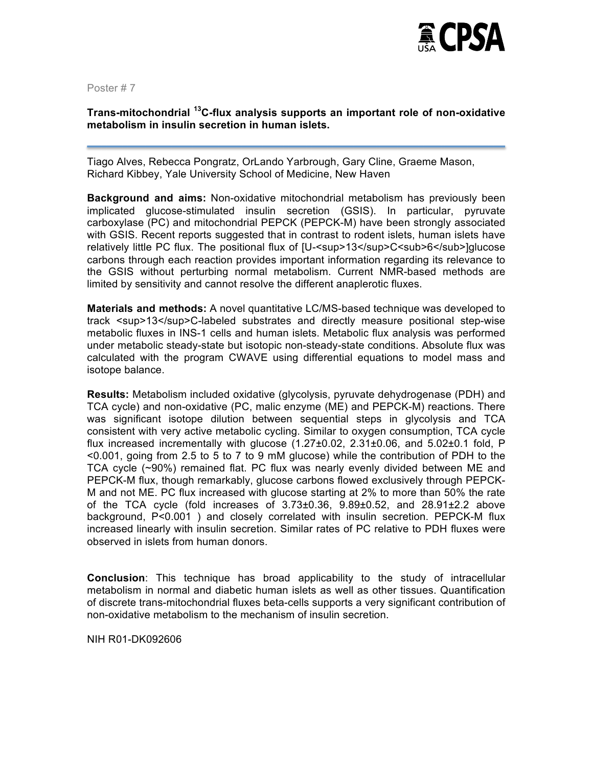

# **Trans-mitochondrial 13C-flux analysis supports an important role of non-oxidative metabolism in insulin secretion in human islets.**

Tiago Alves, Rebecca Pongratz, OrLando Yarbrough, Gary Cline, Graeme Mason, Richard Kibbey, Yale University School of Medicine, New Haven

**Background and aims:** Non-oxidative mitochondrial metabolism has previously been implicated glucose-stimulated insulin secretion (GSIS). In particular, pyruvate carboxylase (PC) and mitochondrial PEPCK (PEPCK-M) have been strongly associated with GSIS. Recent reports suggested that in contrast to rodent islets, human islets have relatively little PC flux. The positional flux of [U-<sup>13</sup>C<sub>6</sub>]glucose carbons through each reaction provides important information regarding its relevance to the GSIS without perturbing normal metabolism. Current NMR-based methods are limited by sensitivity and cannot resolve the different anaplerotic fluxes.

**Materials and methods:** A novel quantitative LC/MS-based technique was developed to track <sup>13</sup>C-labeled substrates and directly measure positional step-wise metabolic fluxes in INS-1 cells and human islets. Metabolic flux analysis was performed under metabolic steady-state but isotopic non-steady-state conditions. Absolute flux was calculated with the program CWAVE using differential equations to model mass and isotope balance.

**Results:** Metabolism included oxidative (glycolysis, pyruvate dehydrogenase (PDH) and TCA cycle) and non-oxidative (PC, malic enzyme (ME) and PEPCK-M) reactions. There was significant isotope dilution between sequential steps in glycolysis and TCA consistent with very active metabolic cycling. Similar to oxygen consumption, TCA cycle flux increased incrementally with glucose  $(1.27\pm0.02, 2.31\pm0.06,$  and  $5.02\pm0.1$  fold, P <0.001, going from 2.5 to 5 to 7 to 9 mM glucose) while the contribution of PDH to the TCA cycle (~90%) remained flat. PC flux was nearly evenly divided between ME and PEPCK-M flux, though remarkably, glucose carbons flowed exclusively through PEPCK-M and not ME. PC flux increased with glucose starting at 2% to more than 50% the rate of the TCA cycle (fold increases of  $3.73\pm0.36$ ,  $9.89\pm0.52$ , and  $28.91\pm2.2$  above background, P<0.001 ) and closely correlated with insulin secretion. PEPCK-M flux increased linearly with insulin secretion. Similar rates of PC relative to PDH fluxes were observed in islets from human donors.

**Conclusion**: This technique has broad applicability to the study of intracellular metabolism in normal and diabetic human islets as well as other tissues. Quantification of discrete trans-mitochondrial fluxes beta-cells supports a very significant contribution of non-oxidative metabolism to the mechanism of insulin secretion.

NIH R01-DK092606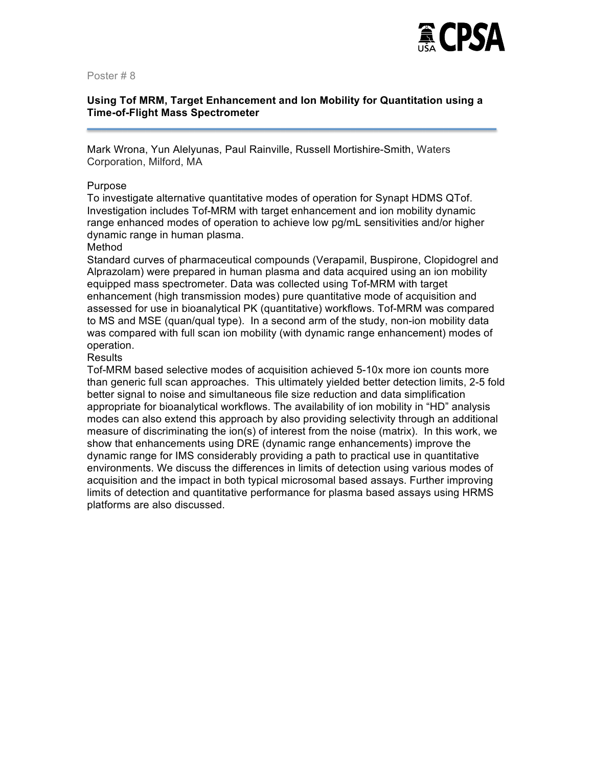

# **Using Tof MRM, Target Enhancement and Ion Mobility for Quantitation using a Time-of-Flight Mass Spectrometer**

Mark Wrona, Yun Alelyunas, Paul Rainville, Russell Mortishire-Smith, Waters Corporation, Milford, MA

#### Purpose

To investigate alternative quantitative modes of operation for Synapt HDMS QTof. Investigation includes Tof-MRM with target enhancement and ion mobility dynamic range enhanced modes of operation to achieve low pg/mL sensitivities and/or higher dynamic range in human plasma.

#### Method

Standard curves of pharmaceutical compounds (Verapamil, Buspirone, Clopidogrel and Alprazolam) were prepared in human plasma and data acquired using an ion mobility equipped mass spectrometer. Data was collected using Tof-MRM with target enhancement (high transmission modes) pure quantitative mode of acquisition and assessed for use in bioanalytical PK (quantitative) workflows. Tof-MRM was compared to MS and MSE (quan/qual type). In a second arm of the study, non-ion mobility data was compared with full scan ion mobility (with dynamic range enhancement) modes of operation.

#### **Results**

Tof-MRM based selective modes of acquisition achieved 5-10x more ion counts more than generic full scan approaches. This ultimately yielded better detection limits, 2-5 fold better signal to noise and simultaneous file size reduction and data simplification appropriate for bioanalytical workflows. The availability of ion mobility in "HD" analysis modes can also extend this approach by also providing selectivity through an additional measure of discriminating the ion(s) of interest from the noise (matrix). In this work, we show that enhancements using DRE (dynamic range enhancements) improve the dynamic range for IMS considerably providing a path to practical use in quantitative environments. We discuss the differences in limits of detection using various modes of acquisition and the impact in both typical microsomal based assays. Further improving limits of detection and quantitative performance for plasma based assays using HRMS platforms are also discussed.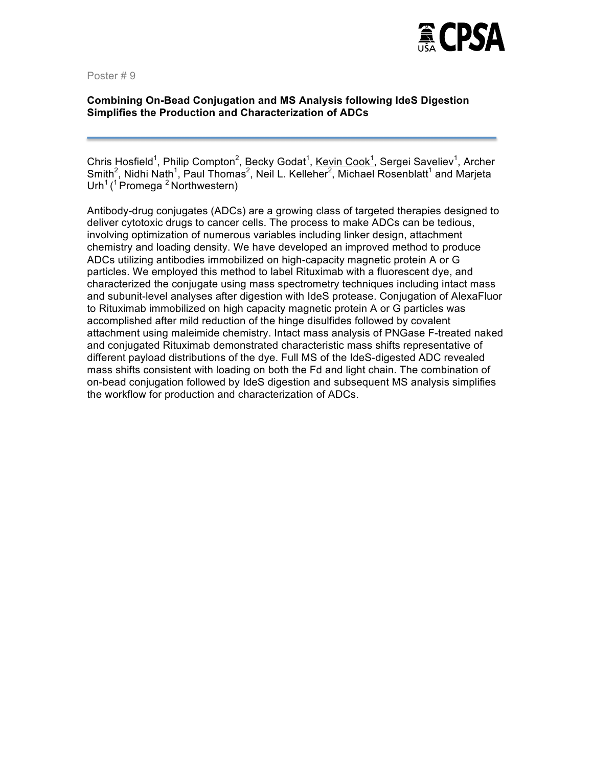

# **Combining On-Bead Conjugation and MS Analysis following IdeS Digestion Simplifies the Production and Characterization of ADCs**

Chris Hosfield<sup>1</sup>, Philip Compton<sup>2</sup>, Becky Godat<sup>1</sup>, Kevin Cook<sup>1</sup>, Sergei Saveliev<sup>1</sup>, Archer Smith<sup>2</sup>, Nidhi Nath<sup>1</sup>, Paul Thomas<sup>2</sup>, Neil L. Kelleher<sup>2</sup>, Michael Rosenblatt<sup>1</sup> and Marjeta Urh<sup>1</sup> (<sup>1</sup> Promega<sup>2</sup> Northwestern)

Antibody-drug conjugates (ADCs) are a growing class of targeted therapies designed to deliver cytotoxic drugs to cancer cells. The process to make ADCs can be tedious, involving optimization of numerous variables including linker design, attachment chemistry and loading density. We have developed an improved method to produce ADCs utilizing antibodies immobilized on high-capacity magnetic protein A or G particles. We employed this method to label Rituximab with a fluorescent dye, and characterized the conjugate using mass spectrometry techniques including intact mass and subunit-level analyses after digestion with IdeS protease. Conjugation of AlexaFluor to Rituximab immobilized on high capacity magnetic protein A or G particles was accomplished after mild reduction of the hinge disulfides followed by covalent attachment using maleimide chemistry. Intact mass analysis of PNGase F-treated naked and conjugated Rituximab demonstrated characteristic mass shifts representative of different payload distributions of the dye. Full MS of the IdeS-digested ADC revealed mass shifts consistent with loading on both the Fd and light chain. The combination of on-bead conjugation followed by IdeS digestion and subsequent MS analysis simplifies the workflow for production and characterization of ADCs.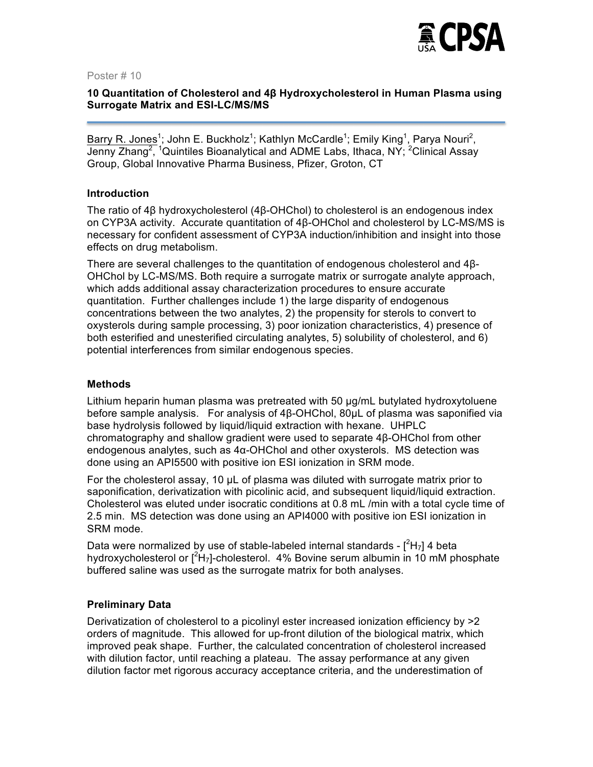

# **10 Quantitation of Cholesterol and 4β Hydroxycholesterol in Human Plasma using Surrogate Matrix and ESI-LC/MS/MS**

Barry R. Jones<sup>1</sup>; John E. Buckholz<sup>1</sup>; Kathlyn McCardle<sup>1</sup>; Emily King<sup>1</sup>, Parya Nouri<sup>2</sup>, Jenny Zhang<sup>2</sup>, <sup>1</sup>Quintiles Bioanalytical and ADME Labs, Ithaca, NY; <sup>2</sup>Clinical Assay Group, Global Innovative Pharma Business, Pfizer, Groton, CT

#### **Introduction**

The ratio of 4β hydroxycholesterol (4β-OHChol) to cholesterol is an endogenous index on CYP3A activity. Accurate quantitation of 4β-OHChol and cholesterol by LC-MS/MS is necessary for confident assessment of CYP3A induction/inhibition and insight into those effects on drug metabolism.

There are several challenges to the quantitation of endogenous cholesterol and 4β-OHChol by LC-MS/MS. Both require a surrogate matrix or surrogate analyte approach, which adds additional assay characterization procedures to ensure accurate quantitation. Further challenges include 1) the large disparity of endogenous concentrations between the two analytes, 2) the propensity for sterols to convert to oxysterols during sample processing, 3) poor ionization characteristics, 4) presence of both esterified and unesterified circulating analytes, 5) solubility of cholesterol, and 6) potential interferences from similar endogenous species.

#### **Methods**

Lithium heparin human plasma was pretreated with 50 µg/mL butylated hydroxytoluene before sample analysis. For analysis of 4β-OHChol, 80µL of plasma was saponified via base hydrolysis followed by liquid/liquid extraction with hexane. UHPLC chromatography and shallow gradient were used to separate 4β-OHChol from other endogenous analytes, such as 4α-OHChol and other oxysterols. MS detection was done using an API5500 with positive ion ESI ionization in SRM mode.

For the cholesterol assay, 10 µL of plasma was diluted with surrogate matrix prior to saponification, derivatization with picolinic acid, and subsequent liquid/liquid extraction. Cholesterol was eluted under isocratic conditions at 0.8 mL /min with a total cycle time of 2.5 min. MS detection was done using an API4000 with positive ion ESI ionization in SRM mode.

Data were normalized by use of stable-labeled internal standards -  $[^{2}H_{7}]$  4 beta hydroxycholesterol or  $[^{2}H_{7}]$ -cholesterol. 4% Bovine serum albumin in 10 mM phosphate buffered saline was used as the surrogate matrix for both analyses.

# **Preliminary Data**

Derivatization of cholesterol to a picolinyl ester increased ionization efficiency by >2 orders of magnitude. This allowed for up-front dilution of the biological matrix, which improved peak shape. Further, the calculated concentration of cholesterol increased with dilution factor, until reaching a plateau. The assay performance at any given dilution factor met rigorous accuracy acceptance criteria, and the underestimation of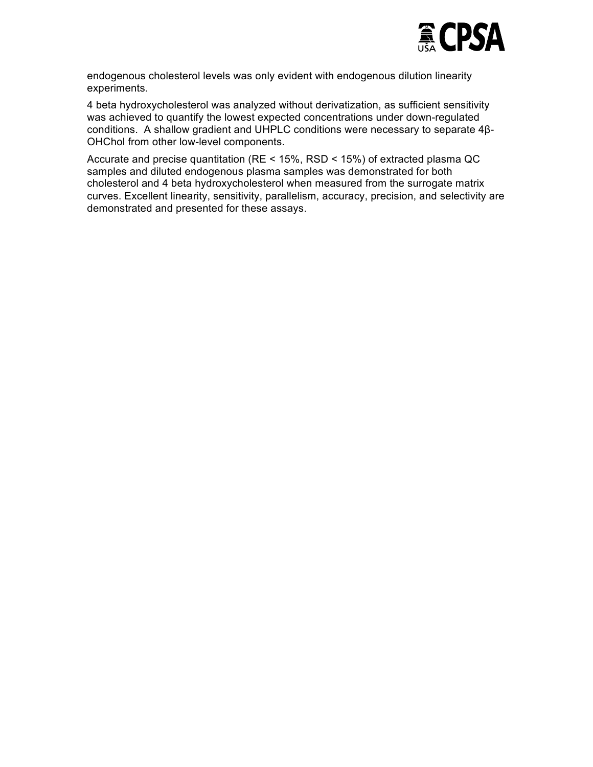

endogenous cholesterol levels was only evident with endogenous dilution linearity experiments.

4 beta hydroxycholesterol was analyzed without derivatization, as sufficient sensitivity was achieved to quantify the lowest expected concentrations under down-regulated conditions. A shallow gradient and UHPLC conditions were necessary to separate 4β-OHChol from other low-level components.

Accurate and precise quantitation (RE < 15%, RSD < 15%) of extracted plasma QC samples and diluted endogenous plasma samples was demonstrated for both cholesterol and 4 beta hydroxycholesterol when measured from the surrogate matrix curves. Excellent linearity, sensitivity, parallelism, accuracy, precision, and selectivity are demonstrated and presented for these assays.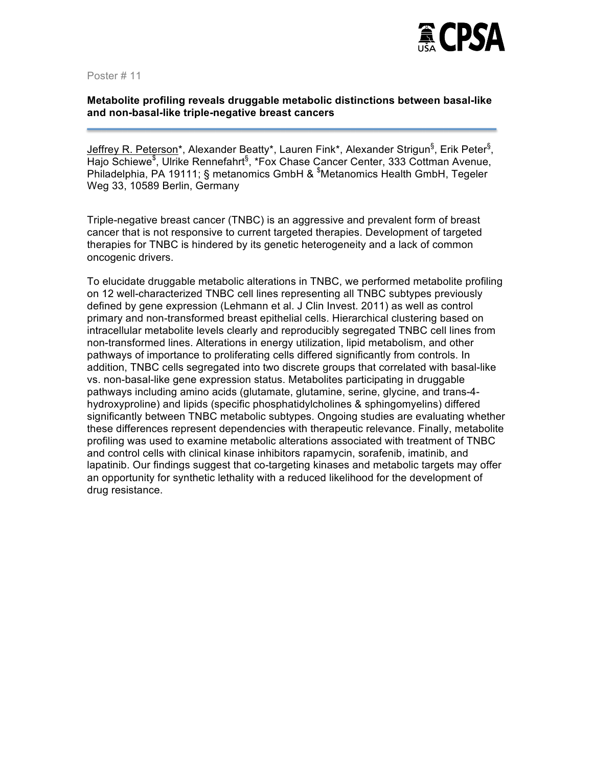

# **Metabolite profiling reveals druggable metabolic distinctions between basal-like and non-basal-like triple-negative breast cancers**

Jeffrey R. Peterson\*, Alexander Beatty\*, Lauren Fink\*, Alexander Strigun<sup>§</sup>, Erik Peter<sup>§</sup>, Hajo Schiewe<sup>\$</sup>, Ulrike Rennefahrt<sup>§</sup>, \*Fox Chase Cancer Center, 333 Cottman Avenue, Philadelphia, PA 19111; § metanomics GmbH & <sup>\$</sup>Metanomics Health GmbH, Tegeler Weg 33, 10589 Berlin, Germany

Triple-negative breast cancer (TNBC) is an aggressive and prevalent form of breast cancer that is not responsive to current targeted therapies. Development of targeted therapies for TNBC is hindered by its genetic heterogeneity and a lack of common oncogenic drivers.

To elucidate druggable metabolic alterations in TNBC, we performed metabolite profiling on 12 well-characterized TNBC cell lines representing all TNBC subtypes previously defined by gene expression (Lehmann et al. J Clin Invest. 2011) as well as control primary and non-transformed breast epithelial cells. Hierarchical clustering based on intracellular metabolite levels clearly and reproducibly segregated TNBC cell lines from non-transformed lines. Alterations in energy utilization, lipid metabolism, and other pathways of importance to proliferating cells differed significantly from controls. In addition, TNBC cells segregated into two discrete groups that correlated with basal-like vs. non-basal-like gene expression status. Metabolites participating in druggable pathways including amino acids (glutamate, glutamine, serine, glycine, and trans-4 hydroxyproline) and lipids (specific phosphatidylcholines & sphingomyelins) differed significantly between TNBC metabolic subtypes. Ongoing studies are evaluating whether these differences represent dependencies with therapeutic relevance. Finally, metabolite profiling was used to examine metabolic alterations associated with treatment of TNBC and control cells with clinical kinase inhibitors rapamycin, sorafenib, imatinib, and lapatinib. Our findings suggest that co-targeting kinases and metabolic targets may offer an opportunity for synthetic lethality with a reduced likelihood for the development of drug resistance.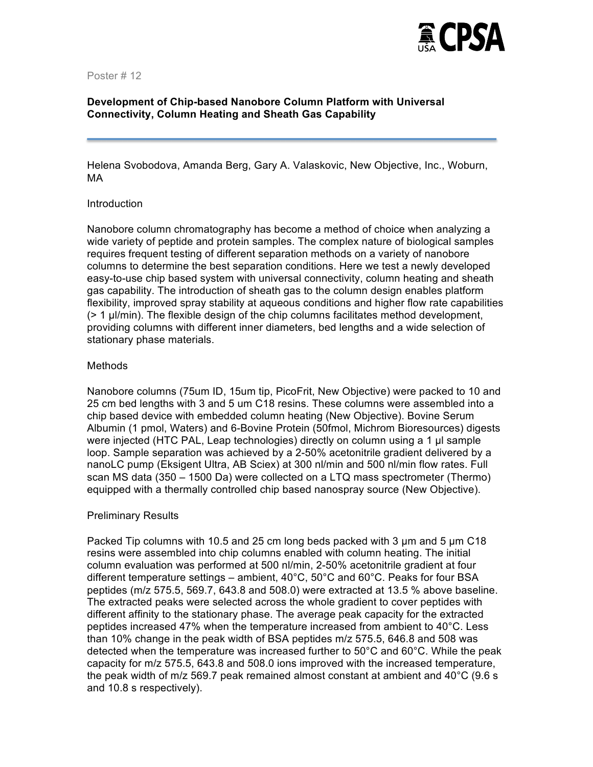

# **Development of Chip-based Nanobore Column Platform with Universal Connectivity, Column Heating and Sheath Gas Capability**

Helena Svobodova, Amanda Berg, Gary A. Valaskovic, New Objective, Inc., Woburn, MA

#### Introduction

Nanobore column chromatography has become a method of choice when analyzing a wide variety of peptide and protein samples. The complex nature of biological samples requires frequent testing of different separation methods on a variety of nanobore columns to determine the best separation conditions. Here we test a newly developed easy-to-use chip based system with universal connectivity, column heating and sheath gas capability. The introduction of sheath gas to the column design enables platform flexibility, improved spray stability at aqueous conditions and higher flow rate capabilities (> 1 µl/min). The flexible design of the chip columns facilitates method development, providing columns with different inner diameters, bed lengths and a wide selection of stationary phase materials.

#### Methods

Nanobore columns (75um ID, 15um tip, PicoFrit, New Objective) were packed to 10 and 25 cm bed lengths with 3 and 5 um C18 resins. These columns were assembled into a chip based device with embedded column heating (New Objective). Bovine Serum Albumin (1 pmol, Waters) and 6-Bovine Protein (50fmol, Michrom Bioresources) digests were injected (HTC PAL, Leap technologies) directly on column using a 1 µl sample loop. Sample separation was achieved by a 2-50% acetonitrile gradient delivered by a nanoLC pump (Eksigent Ultra, AB Sciex) at 300 nl/min and 500 nl/min flow rates. Full scan MS data (350 – 1500 Da) were collected on a LTQ mass spectrometer (Thermo) equipped with a thermally controlled chip based nanospray source (New Objective).

#### Preliminary Results

Packed Tip columns with 10.5 and 25 cm long beds packed with 3 µm and 5 µm C18 resins were assembled into chip columns enabled with column heating. The initial column evaluation was performed at 500 nl/min, 2-50% acetonitrile gradient at four different temperature settings – ambient, 40°C, 50°C and 60°C. Peaks for four BSA peptides (m/z 575.5, 569.7, 643.8 and 508.0) were extracted at 13.5 % above baseline. The extracted peaks were selected across the whole gradient to cover peptides with different affinity to the stationary phase. The average peak capacity for the extracted peptides increased 47% when the temperature increased from ambient to 40°C. Less than 10% change in the peak width of BSA peptides m/z 575.5, 646.8 and 508 was detected when the temperature was increased further to 50°C and 60°C. While the peak capacity for m/z 575.5, 643.8 and 508.0 ions improved with the increased temperature, the peak width of m/z 569.7 peak remained almost constant at ambient and 40°C (9.6 s and 10.8 s respectively).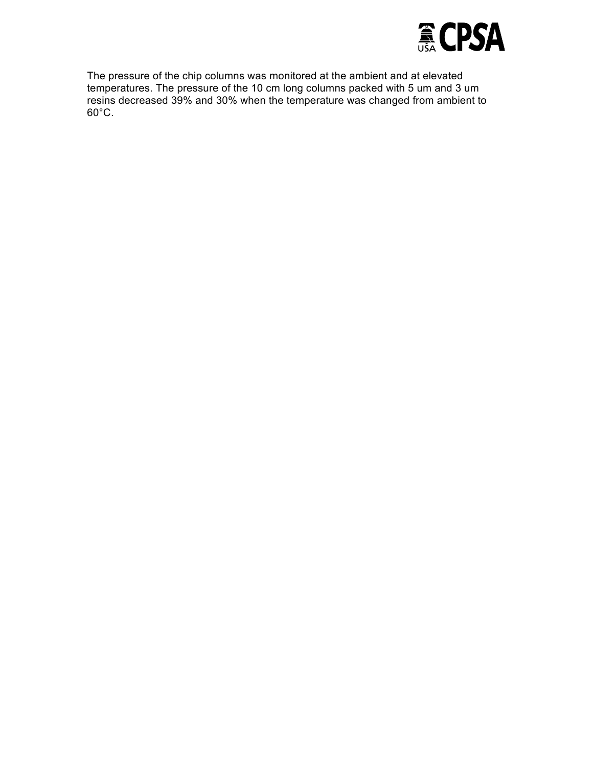

The pressure of the chip columns was monitored at the ambient and at elevated temperatures. The pressure of the 10 cm long columns packed with 5 um and 3 um resins decreased 39% and 30% when the temperature was changed from ambient to 60°C.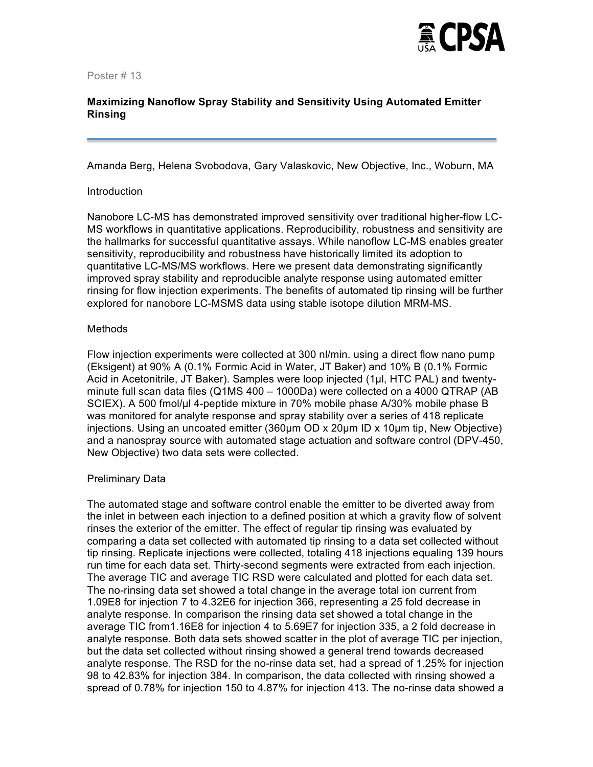

# **Maximizing Nanoflow Spray Stability and Sensitivity Using Automated Emitter Rinsing**

Amanda Berg, Helena Svobodova, Gary Valaskovic, New Objective, Inc., Woburn, MA

#### Introduction

Nanobore LC-MS has demonstrated improved sensitivity over traditional higher-flow LC-MS workflows in quantitative applications. Reproducibility, robustness and sensitivity are the hallmarks for successful quantitative assays. While nanoflow LC-MS enables greater sensitivity, reproducibility and robustness have historically limited its adoption to quantitative LC-MS/MS workflows. Here we present data demonstrating significantly improved spray stability and reproducible analyte response using automated emitter rinsing for flow injection experiments. The benefits of automated tip rinsing will be further explored for nanobore LC-MSMS data using stable isotope dilution MRM-MS.

#### **Methods**

Flow injection experiments were collected at 300 nl/min. using a direct flow nano pump (Eksigent) at 90% A (0.1% Formic Acid in Water, JT Baker) and 10% B (0.1% Formic Acid in Acetonitrile, JT Baker). Samples were loop injected (1µl, HTC PAL) and twentyminute full scan data files (Q1MS 400 – 1000Da) were collected on a 4000 QTRAP (AB SCIEX). A 500 fmol/µl 4-peptide mixture in 70% mobile phase A/30% mobile phase B was monitored for analyte response and spray stability over a series of 418 replicate injections. Using an uncoated emitter (360µm OD x 20µm ID x 10µm tip, New Objective) and a nanospray source with automated stage actuation and software control (DPV-450, New Objective) two data sets were collected.

# Preliminary Data

The automated stage and software control enable the emitter to be diverted away from the inlet in between each injection to a defined position at which a gravity flow of solvent rinses the exterior of the emitter. The effect of regular tip rinsing was evaluated by comparing a data set collected with automated tip rinsing to a data set collected without tip rinsing. Replicate injections were collected, totaling 418 injections equaling 139 hours run time for each data set. Thirty-second segments were extracted from each injection. The average TIC and average TIC RSD were calculated and plotted for each data set. The no-rinsing data set showed a total change in the average total ion current from 1.09E8 for injection 7 to 4.32E6 for injection 366, representing a 25 fold decrease in analyte response. In comparison the rinsing data set showed a total change in the average TIC from1.16E8 for injection 4 to 5.69E7 for injection 335, a 2 fold decrease in analyte response. Both data sets showed scatter in the plot of average TIC per injection, but the data set collected without rinsing showed a general trend towards decreased analyte response. The RSD for the no-rinse data set, had a spread of 1.25% for injection 98 to 42.83% for injection 384. In comparison, the data collected with rinsing showed a spread of 0.78% for injection 150 to 4.87% for injection 413. The no-rinse data showed a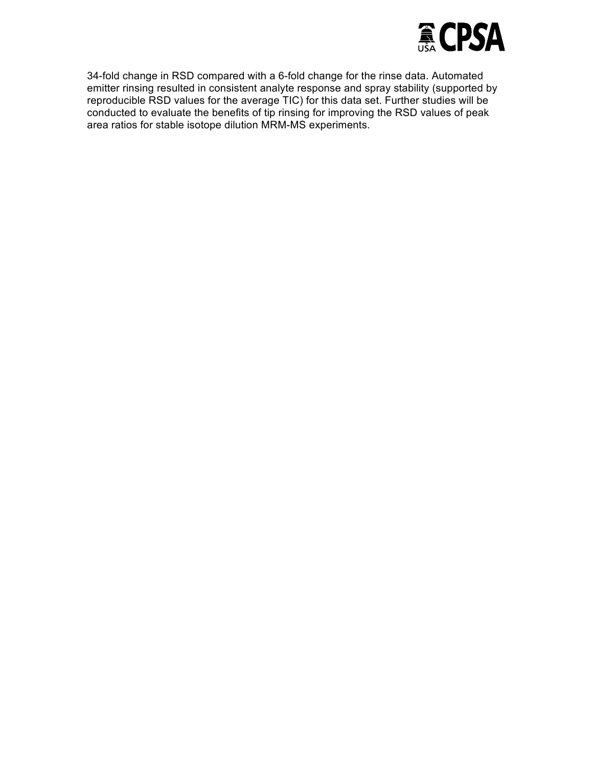

34-fold change in RSD compared with a 6-fold change for the rinse data. Automated emitter rinsing resulted in consistent analyte response and spray stability (supported by reproducible RSD values for the average TIC) for this data set. Further studies will be conducted to evaluate the benefits of tip rinsing for improving the RSD values of peak area ratios for stable isotope dilution MRM-MS experiments.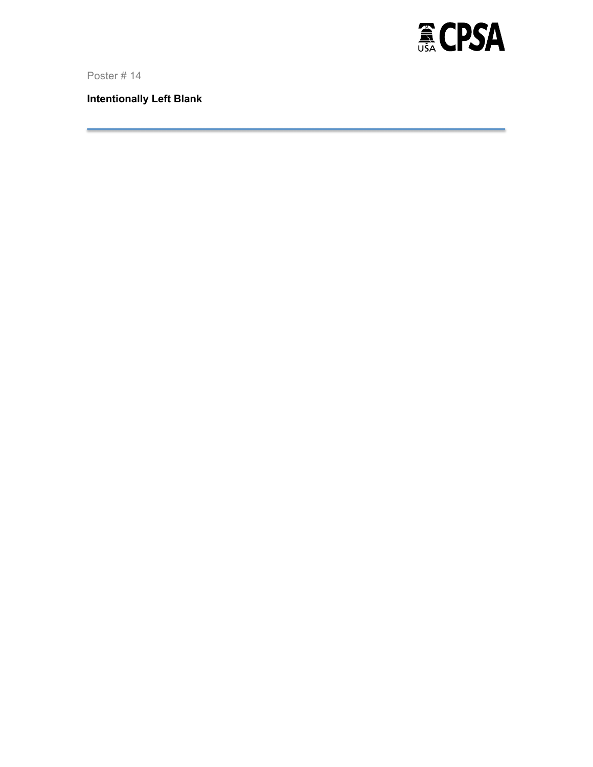

**Intentionally Left Blank**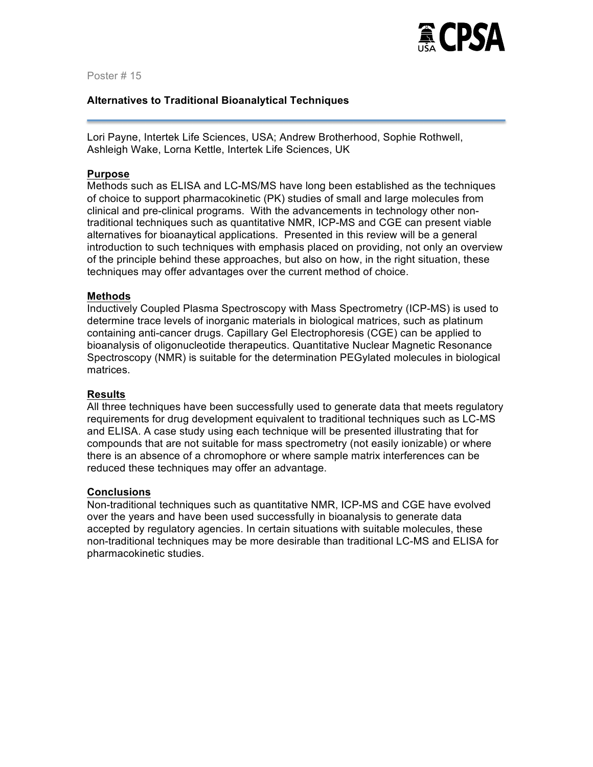

#### **Alternatives to Traditional Bioanalytical Techniques**

Lori Payne, Intertek Life Sciences, USA; Andrew Brotherhood, Sophie Rothwell, Ashleigh Wake, Lorna Kettle, Intertek Life Sciences, UK

#### **Purpose**

Methods such as ELISA and LC-MS/MS have long been established as the techniques of choice to support pharmacokinetic (PK) studies of small and large molecules from clinical and pre-clinical programs. With the advancements in technology other nontraditional techniques such as quantitative NMR, ICP-MS and CGE can present viable alternatives for bioanaytical applications. Presented in this review will be a general introduction to such techniques with emphasis placed on providing, not only an overview of the principle behind these approaches, but also on how, in the right situation, these techniques may offer advantages over the current method of choice.

#### **Methods**

Inductively Coupled Plasma Spectroscopy with Mass Spectrometry (ICP-MS) is used to determine trace levels of inorganic materials in biological matrices, such as platinum containing anti-cancer drugs. Capillary Gel Electrophoresis (CGE) can be applied to bioanalysis of oligonucleotide therapeutics. Quantitative Nuclear Magnetic Resonance Spectroscopy (NMR) is suitable for the determination PEGylated molecules in biological matrices.

#### **Results**

All three techniques have been successfully used to generate data that meets regulatory requirements for drug development equivalent to traditional techniques such as LC-MS and ELISA. A case study using each technique will be presented illustrating that for compounds that are not suitable for mass spectrometry (not easily ionizable) or where there is an absence of a chromophore or where sample matrix interferences can be reduced these techniques may offer an advantage.

#### **Conclusions**

Non-traditional techniques such as quantitative NMR, ICP-MS and CGE have evolved over the years and have been used successfully in bioanalysis to generate data accepted by regulatory agencies. In certain situations with suitable molecules, these non-traditional techniques may be more desirable than traditional LC-MS and ELISA for pharmacokinetic studies.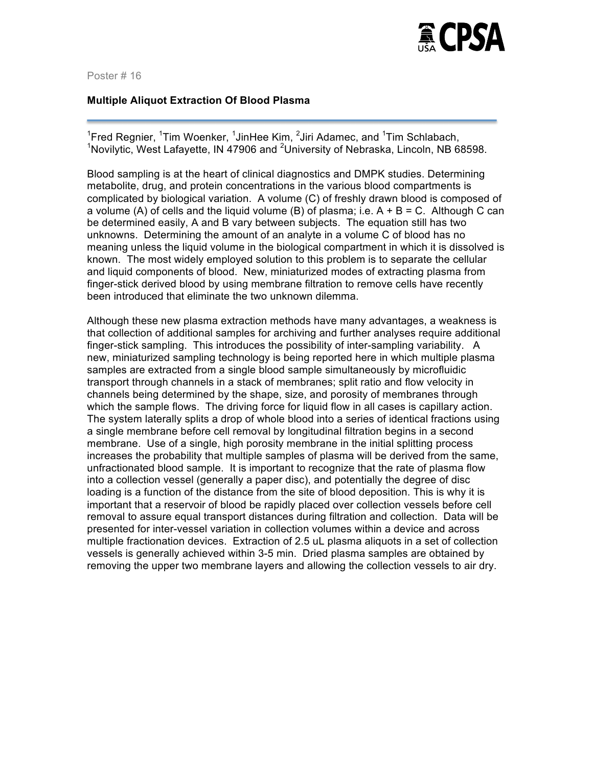

#### **Multiple Aliquot Extraction Of Blood Plasma**

<sup>1</sup>Fred Regnier, <sup>1</sup>Tim Woenker, <sup>1</sup>JinHee Kim, <sup>2</sup>Jiri Adamec, and <sup>1</sup>Tim Schlabach, <sup>1</sup>Novilytic, West Lafayette, IN 47906 and <sup>2</sup>University of Nebraska, Lincoln, NB 68598.

Blood sampling is at the heart of clinical diagnostics and DMPK studies. Determining metabolite, drug, and protein concentrations in the various blood compartments is complicated by biological variation. A volume (C) of freshly drawn blood is composed of a volume (A) of cells and the liquid volume (B) of plasma; i.e.  $A + B = C$ . Although C can be determined easily, A and B vary between subjects. The equation still has two unknowns. Determining the amount of an analyte in a volume C of blood has no meaning unless the liquid volume in the biological compartment in which it is dissolved is known. The most widely employed solution to this problem is to separate the cellular and liquid components of blood. New, miniaturized modes of extracting plasma from finger-stick derived blood by using membrane filtration to remove cells have recently been introduced that eliminate the two unknown dilemma.

Although these new plasma extraction methods have many advantages, a weakness is that collection of additional samples for archiving and further analyses require additional finger-stick sampling. This introduces the possibility of inter-sampling variability. A new, miniaturized sampling technology is being reported here in which multiple plasma samples are extracted from a single blood sample simultaneously by microfluidic transport through channels in a stack of membranes; split ratio and flow velocity in channels being determined by the shape, size, and porosity of membranes through which the sample flows. The driving force for liquid flow in all cases is capillary action. The system laterally splits a drop of whole blood into a series of identical fractions using a single membrane before cell removal by longitudinal filtration begins in a second membrane. Use of a single, high porosity membrane in the initial splitting process increases the probability that multiple samples of plasma will be derived from the same, unfractionated blood sample. It is important to recognize that the rate of plasma flow into a collection vessel (generally a paper disc), and potentially the degree of disc loading is a function of the distance from the site of blood deposition. This is why it is important that a reservoir of blood be rapidly placed over collection vessels before cell removal to assure equal transport distances during filtration and collection. Data will be presented for inter-vessel variation in collection volumes within a device and across multiple fractionation devices. Extraction of 2.5 uL plasma aliquots in a set of collection vessels is generally achieved within 3-5 min. Dried plasma samples are obtained by removing the upper two membrane layers and allowing the collection vessels to air dry.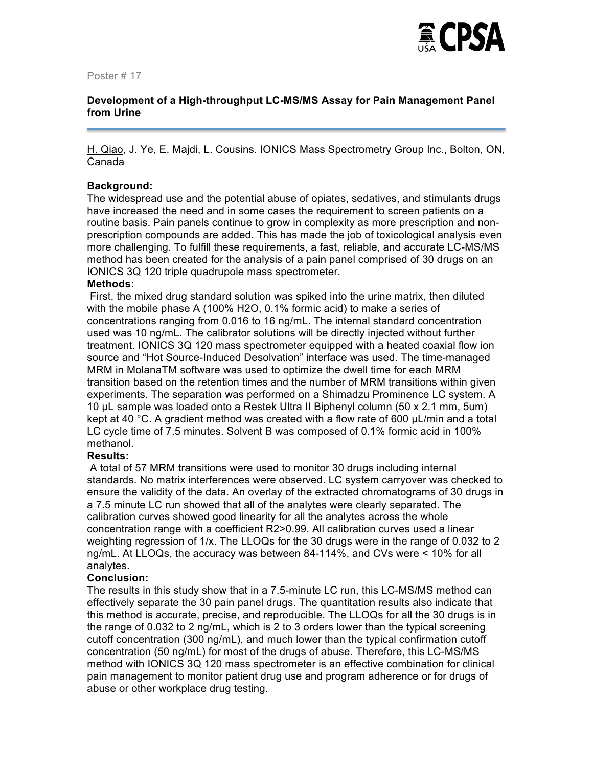

# **Development of a High-throughput LC-MS/MS Assay for Pain Management Panel from Urine**

H. Qiao, J. Ye, E. Majdi, L. Cousins. IONICS Mass Spectrometry Group Inc., Bolton, ON, Canada

# **Background:**

The widespread use and the potential abuse of opiates, sedatives, and stimulants drugs have increased the need and in some cases the requirement to screen patients on a routine basis. Pain panels continue to grow in complexity as more prescription and nonprescription compounds are added. This has made the job of toxicological analysis even more challenging. To fulfill these requirements, a fast, reliable, and accurate LC-MS/MS method has been created for the analysis of a pain panel comprised of 30 drugs on an IONICS 3Q 120 triple quadrupole mass spectrometer.

#### **Methods:**

First, the mixed drug standard solution was spiked into the urine matrix, then diluted with the mobile phase A (100% H2O, 0.1% formic acid) to make a series of concentrations ranging from 0.016 to 16 ng/mL. The internal standard concentration used was 10 ng/mL. The calibrator solutions will be directly injected without further treatment. IONICS 3Q 120 mass spectrometer equipped with a heated coaxial flow ion source and "Hot Source-Induced Desolvation" interface was used. The time-managed MRM in MolanaTM software was used to optimize the dwell time for each MRM transition based on the retention times and the number of MRM transitions within given experiments. The separation was performed on a Shimadzu Prominence LC system. A 10 µL sample was loaded onto a Restek Ultra II Biphenyl column (50 x 2.1 mm, 5um) kept at 40  $\degree$ C. A gradient method was created with a flow rate of 600  $\mu$ L/min and a total LC cycle time of 7.5 minutes. Solvent B was composed of 0.1% formic acid in 100% methanol.

#### **Results:**

A total of 57 MRM transitions were used to monitor 30 drugs including internal standards. No matrix interferences were observed. LC system carryover was checked to ensure the validity of the data. An overlay of the extracted chromatograms of 30 drugs in a 7.5 minute LC run showed that all of the analytes were clearly separated. The calibration curves showed good linearity for all the analytes across the whole concentration range with a coefficient R2>0.99. All calibration curves used a linear weighting regression of 1/x. The LLOQs for the 30 drugs were in the range of 0.032 to 2 ng/mL. At LLOQs, the accuracy was between 84-114%, and CVs were < 10% for all analytes.

#### **Conclusion:**

The results in this study show that in a 7.5-minute LC run, this LC-MS/MS method can effectively separate the 30 pain panel drugs. The quantitation results also indicate that this method is accurate, precise, and reproducible. The LLOQs for all the 30 drugs is in the range of 0.032 to 2 ng/mL, which is 2 to 3 orders lower than the typical screening cutoff concentration (300 ng/mL), and much lower than the typical confirmation cutoff concentration (50 ng/mL) for most of the drugs of abuse. Therefore, this LC-MS/MS method with IONICS 3Q 120 mass spectrometer is an effective combination for clinical pain management to monitor patient drug use and program adherence or for drugs of abuse or other workplace drug testing.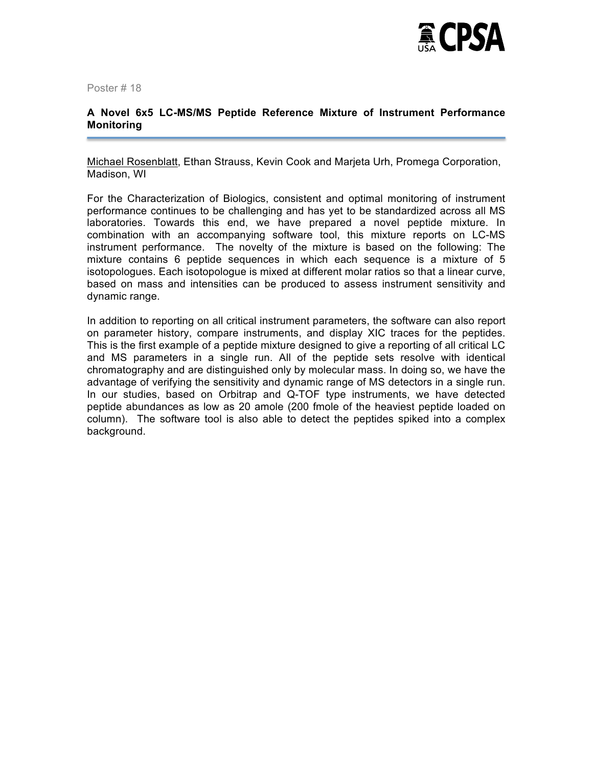

# **A Novel 6x5 LC-MS/MS Peptide Reference Mixture of Instrument Performance Monitoring**

Michael Rosenblatt, Ethan Strauss, Kevin Cook and Marjeta Urh, Promega Corporation, Madison, WI

For the Characterization of Biologics, consistent and optimal monitoring of instrument performance continues to be challenging and has yet to be standardized across all MS laboratories. Towards this end, we have prepared a novel peptide mixture. In combination with an accompanying software tool, this mixture reports on LC-MS instrument performance. The novelty of the mixture is based on the following: The mixture contains 6 peptide sequences in which each sequence is a mixture of 5 isotopologues. Each isotopologue is mixed at different molar ratios so that a linear curve, based on mass and intensities can be produced to assess instrument sensitivity and dynamic range.

In addition to reporting on all critical instrument parameters, the software can also report on parameter history, compare instruments, and display XIC traces for the peptides. This is the first example of a peptide mixture designed to give a reporting of all critical LC and MS parameters in a single run. All of the peptide sets resolve with identical chromatography and are distinguished only by molecular mass. In doing so, we have the advantage of verifying the sensitivity and dynamic range of MS detectors in a single run. In our studies, based on Orbitrap and Q-TOF type instruments, we have detected peptide abundances as low as 20 amole (200 fmole of the heaviest peptide loaded on column). The software tool is also able to detect the peptides spiked into a complex background.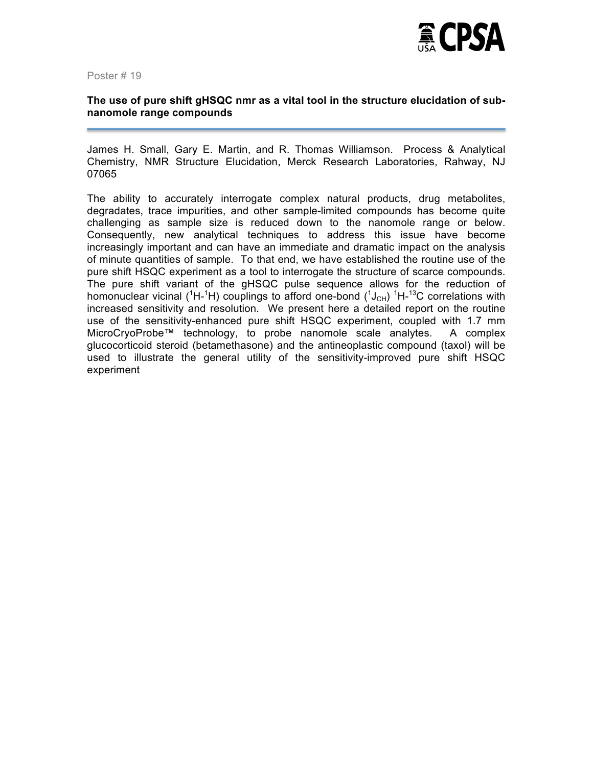

# **The use of pure shift gHSQC nmr as a vital tool in the structure elucidation of subnanomole range compounds**

James H. Small, Gary E. Martin, and R. Thomas Williamson. Process & Analytical Chemistry, NMR Structure Elucidation, Merck Research Laboratories, Rahway, NJ 07065

The ability to accurately interrogate complex natural products, drug metabolites, degradates, trace impurities, and other sample-limited compounds has become quite challenging as sample size is reduced down to the nanomole range or below. Consequently, new analytical techniques to address this issue have become increasingly important and can have an immediate and dramatic impact on the analysis of minute quantities of sample. To that end, we have established the routine use of the pure shift HSQC experiment as a tool to interrogate the structure of scarce compounds. The pure shift variant of the gHSQC pulse sequence allows for the reduction of homonuclear vicinal ( ${}^{1}$ H- ${}^{1}$ H) couplings to afford one-bond ( ${}^{1}$ J<sub>CH</sub>)  ${}^{1}$ H- ${}^{13}$ C correlations with increased sensitivity and resolution. We present here a detailed report on the routine use of the sensitivity-enhanced pure shift HSQC experiment, coupled with 1.7 mm MicroCryoProbe™ technology, to probe nanomole scale analytes. A complex glucocorticoid steroid (betamethasone) and the antineoplastic compound (taxol) will be used to illustrate the general utility of the sensitivity-improved pure shift HSQC experiment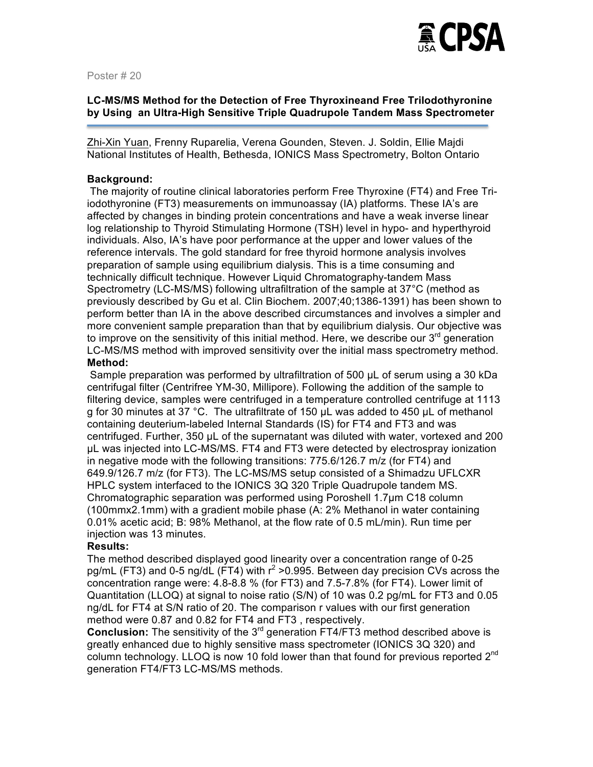

# **LC-MS/MS Method for the Detection of Free Thyroxineand Free TriIodothyronine by Using an Ultra-High Sensitive Triple Quadrupole Tandem Mass Spectrometer**

Zhi-Xin Yuan, Frenny Ruparelia, Verena Gounden, Steven. J. Soldin, Ellie Majdi National Institutes of Health, Bethesda, IONICS Mass Spectrometry, Bolton Ontario

# **Background:**

The majority of routine clinical laboratories perform Free Thyroxine (FT4) and Free Triiodothyronine (FT3) measurements on immunoassay (IA) platforms. These IA's are affected by changes in binding protein concentrations and have a weak inverse linear log relationship to Thyroid Stimulating Hormone (TSH) level in hypo- and hyperthyroid individuals. Also, IA's have poor performance at the upper and lower values of the reference intervals. The gold standard for free thyroid hormone analysis involves preparation of sample using equilibrium dialysis. This is a time consuming and technically difficult technique. However Liquid Chromatography-tandem Mass Spectrometry (LC-MS/MS) following ultrafiltration of the sample at 37°C (method as previously described by Gu et al. Clin Biochem. 2007;40;1386-1391) has been shown to perform better than IA in the above described circumstances and involves a simpler and more convenient sample preparation than that by equilibrium dialysis. Our objective was to improve on the sensitivity of this initial method. Here, we describe our  $3<sup>rd</sup>$  generation LC-MS/MS method with improved sensitivity over the initial mass spectrometry method. **Method:**

Sample preparation was performed by ultrafiltration of 500 µL of serum using a 30 kDa centrifugal filter (Centrifree YM-30, Millipore). Following the addition of the sample to filtering device, samples were centrifuged in a temperature controlled centrifuge at 1113 g for 30 minutes at 37 °C. The ultrafiltrate of 150 µL was added to 450 µL of methanol containing deuterium-labeled Internal Standards (IS) for FT4 and FT3 and was centrifuged. Further, 350 µL of the supernatant was diluted with water, vortexed and 200 µL was injected into LC-MS/MS. FT4 and FT3 were detected by electrospray ionization in negative mode with the following transitions: 775.6/126.7 m/z (for FT4) and 649.9/126.7 m/z (for FT3). The LC-MS/MS setup consisted of a Shimadzu UFLCXR HPLC system interfaced to the IONICS 3Q 320 Triple Quadrupole tandem MS. Chromatographic separation was performed using Poroshell 1.7µm C18 column (100mmx2.1mm) with a gradient mobile phase (A: 2% Methanol in water containing 0.01% acetic acid; B: 98% Methanol, at the flow rate of 0.5 mL/min). Run time per injection was 13 minutes.

#### **Results:**

The method described displayed good linearity over a concentration range of 0-25 pg/mL (FT3) and 0-5 ng/dL (FT4) with  $r^2 > 0.995$ . Between day precision CVs across the concentration range were: 4.8-8.8 % (for FT3) and 7.5-7.8% (for FT4). Lower limit of Quantitation (LLOQ) at signal to noise ratio (S/N) of 10 was 0.2 pg/mL for FT3 and 0.05 ng/dL for FT4 at S/N ratio of 20. The comparison r values with our first generation method were 0.87 and 0.82 for FT4 and FT3 , respectively.

**Conclusion:** The sensitivity of the 3<sup>rd</sup> generation FT4/FT3 method described above is greatly enhanced due to highly sensitive mass spectrometer (IONICS 3Q 320) and column technology. LLOQ is now 10 fold lower than that found for previous reported 2<sup>nd</sup> generation FT4/FT3 LC-MS/MS methods.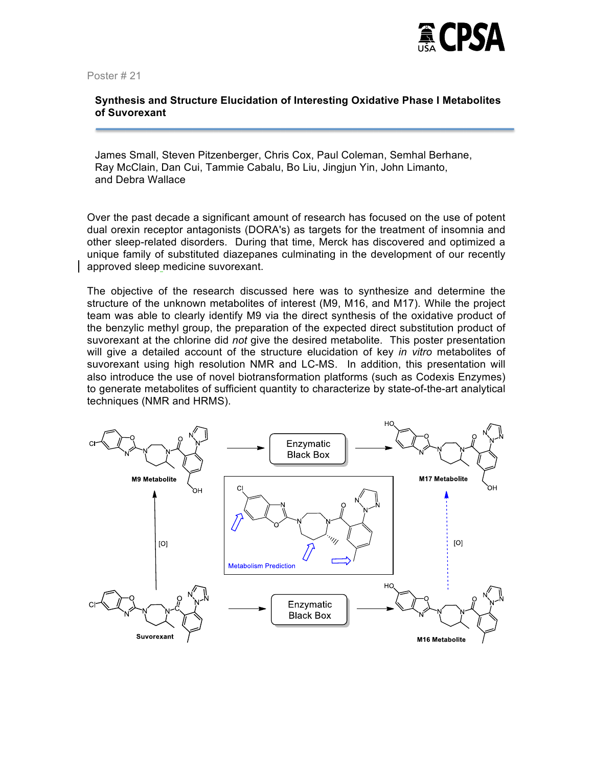

# **Synthesis and Structure Elucidation of Interesting Oxidative Phase I Metabolites of Suvorexant**

James Small, Steven Pitzenberger, Chris Cox, Paul Coleman, Semhal Berhane, Ray McClain, Dan Cui, Tammie Cabalu, Bo Liu, Jingjun Yin, John Limanto, and Debra Wallace

Over the past decade a significant amount of research has focused on the use of potent dual orexin receptor antagonists (DORA's) as targets for the treatment of insomnia and other sleep-related disorders. During that time, Merck has discovered and optimized a unique family of substituted diazepanes culminating in the development of our recently approved sleep medicine suvorexant.

The objective of the research discussed here was to synthesize and determine the structure of the unknown metabolites of interest (M9, M16, and M17). While the project team was able to clearly identify M9 via the direct synthesis of the oxidative product of the benzylic methyl group, the preparation of the expected direct substitution product of suvorexant at the chlorine did *not* give the desired metabolite. This poster presentation will give a detailed account of the structure elucidation of key *in vitro* metabolites of suvorexant using high resolution NMR and LC-MS. In addition, this presentation will also introduce the use of novel biotransformation platforms (such as Codexis Enzymes) to generate metabolites of sufficient quantity to characterize by state-of-the-art analytical techniques (NMR and HRMS).

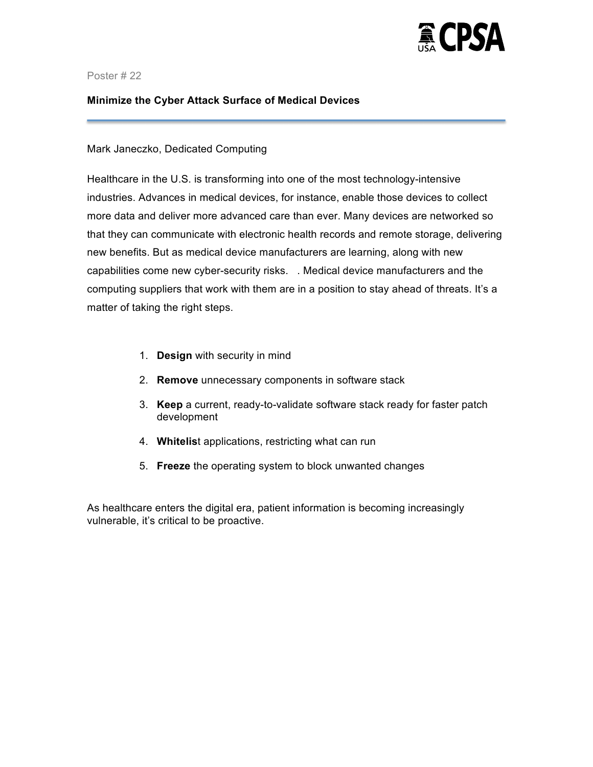

# **Minimize the Cyber Attack Surface of Medical Devices**

# Mark Janeczko, Dedicated Computing

Healthcare in the U.S. is transforming into one of the most technology-intensive industries. Advances in medical devices, for instance, enable those devices to collect more data and deliver more advanced care than ever. Many devices are networked so that they can communicate with electronic health records and remote storage, delivering new benefits. But as medical device manufacturers are learning, along with new capabilities come new cyber-security risks. . Medical device manufacturers and the computing suppliers that work with them are in a position to stay ahead of threats. It's a matter of taking the right steps.

- 1. **Design** with security in mind
- 2. **Remove** unnecessary components in software stack
- 3. **Keep** a current, ready-to-validate software stack ready for faster patch development
- 4. **Whitelis**t applications, restricting what can run
- 5. **Freeze** the operating system to block unwanted changes

As healthcare enters the digital era, patient information is becoming increasingly vulnerable, it's critical to be proactive.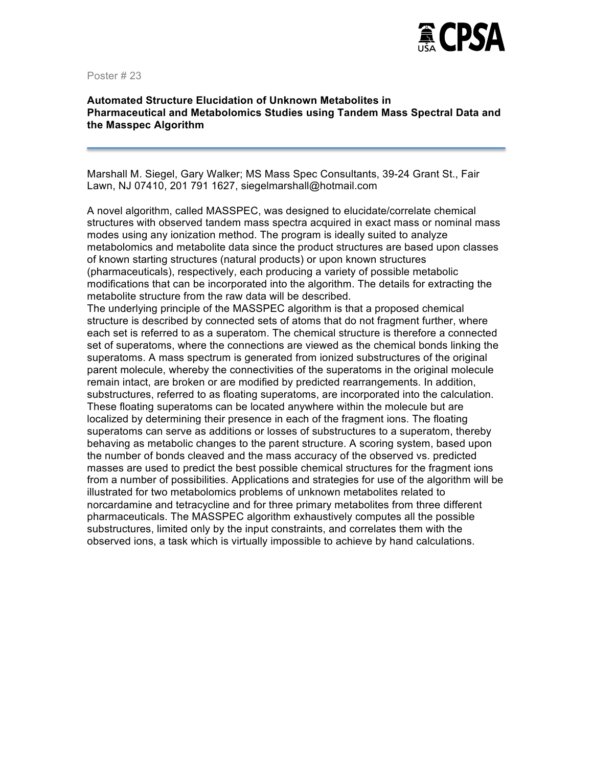

# **Automated Structure Elucidation of Unknown Metabolites in Pharmaceutical and Metabolomics Studies using Tandem Mass Spectral Data and the Masspec Algorithm**

Marshall M. Siegel, Gary Walker; MS Mass Spec Consultants, 39-24 Grant St., Fair Lawn, NJ 07410, 201 791 1627, siegelmarshall@hotmail.com

A novel algorithm, called MASSPEC, was designed to elucidate/correlate chemical structures with observed tandem mass spectra acquired in exact mass or nominal mass modes using any ionization method. The program is ideally suited to analyze metabolomics and metabolite data since the product structures are based upon classes of known starting structures (natural products) or upon known structures (pharmaceuticals), respectively, each producing a variety of possible metabolic modifications that can be incorporated into the algorithm. The details for extracting the metabolite structure from the raw data will be described.

The underlying principle of the MASSPEC algorithm is that a proposed chemical structure is described by connected sets of atoms that do not fragment further, where each set is referred to as a superatom. The chemical structure is therefore a connected set of superatoms, where the connections are viewed as the chemical bonds linking the superatoms. A mass spectrum is generated from ionized substructures of the original parent molecule, whereby the connectivities of the superatoms in the original molecule remain intact, are broken or are modified by predicted rearrangements. In addition, substructures, referred to as floating superatoms, are incorporated into the calculation. These floating superatoms can be located anywhere within the molecule but are localized by determining their presence in each of the fragment ions. The floating superatoms can serve as additions or losses of substructures to a superatom, thereby behaving as metabolic changes to the parent structure. A scoring system, based upon the number of bonds cleaved and the mass accuracy of the observed vs. predicted masses are used to predict the best possible chemical structures for the fragment ions from a number of possibilities. Applications and strategies for use of the algorithm will be illustrated for two metabolomics problems of unknown metabolites related to norcardamine and tetracycline and for three primary metabolites from three different pharmaceuticals. The MASSPEC algorithm exhaustively computes all the possible substructures, limited only by the input constraints, and correlates them with the observed ions, a task which is virtually impossible to achieve by hand calculations.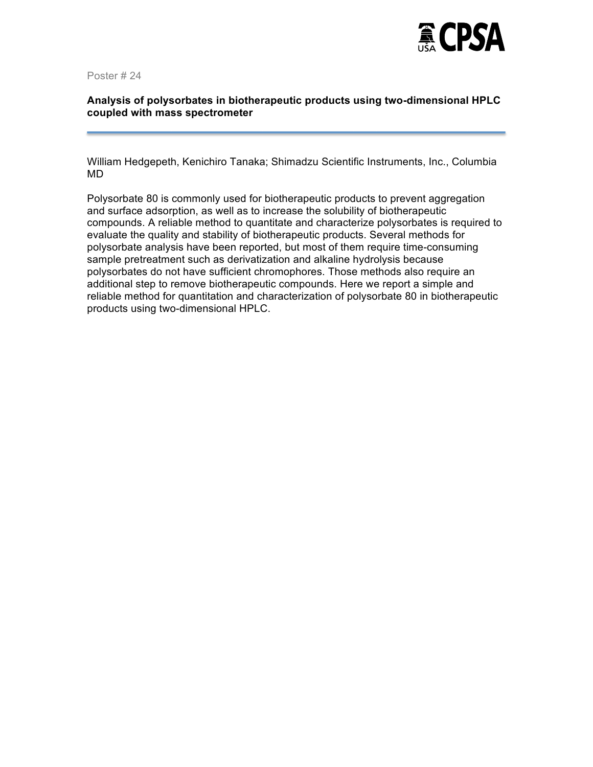

# **Analysis of polysorbates in biotherapeutic products using two-dimensional HPLC coupled with mass spectrometer**

William Hedgepeth, Kenichiro Tanaka; Shimadzu Scientific Instruments, Inc., Columbia MD

Polysorbate 80 is commonly used for biotherapeutic products to prevent aggregation and surface adsorption, as well as to increase the solubility of biotherapeutic compounds. A reliable method to quantitate and characterize polysorbates is required to evaluate the quality and stability of biotherapeutic products. Several methods for polysorbate analysis have been reported, but most of them require time-consuming sample pretreatment such as derivatization and alkaline hydrolysis because polysorbates do not have sufficient chromophores. Those methods also require an additional step to remove biotherapeutic compounds. Here we report a simple and reliable method for quantitation and characterization of polysorbate 80 in biotherapeutic products using two-dimensional HPLC.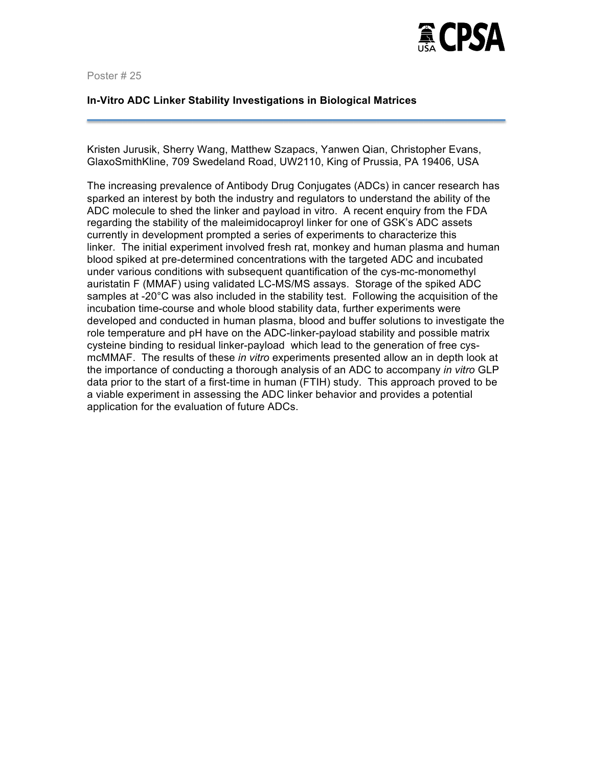

#### **In-Vitro ADC Linker Stability Investigations in Biological Matrices**

Kristen Jurusik, Sherry Wang, Matthew Szapacs, Yanwen Qian, Christopher Evans, GlaxoSmithKline, 709 Swedeland Road, UW2110, King of Prussia, PA 19406, USA

The increasing prevalence of Antibody Drug Conjugates (ADCs) in cancer research has sparked an interest by both the industry and regulators to understand the ability of the ADC molecule to shed the linker and payload in vitro. A recent enquiry from the FDA regarding the stability of the maleimidocaproyl linker for one of GSK's ADC assets currently in development prompted a series of experiments to characterize this linker. The initial experiment involved fresh rat, monkey and human plasma and human blood spiked at pre-determined concentrations with the targeted ADC and incubated under various conditions with subsequent quantification of the cys-mc-monomethyl auristatin F (MMAF) using validated LC-MS/MS assays. Storage of the spiked ADC samples at -20°C was also included in the stability test. Following the acquisition of the incubation time-course and whole blood stability data, further experiments were developed and conducted in human plasma, blood and buffer solutions to investigate the role temperature and pH have on the ADC-linker-payload stability and possible matrix cysteine binding to residual linker-payload which lead to the generation of free cysmcMMAF. The results of these *in vitro* experiments presented allow an in depth look at the importance of conducting a thorough analysis of an ADC to accompany *in vitro* GLP data prior to the start of a first-time in human (FTIH) study. This approach proved to be a viable experiment in assessing the ADC linker behavior and provides a potential application for the evaluation of future ADCs.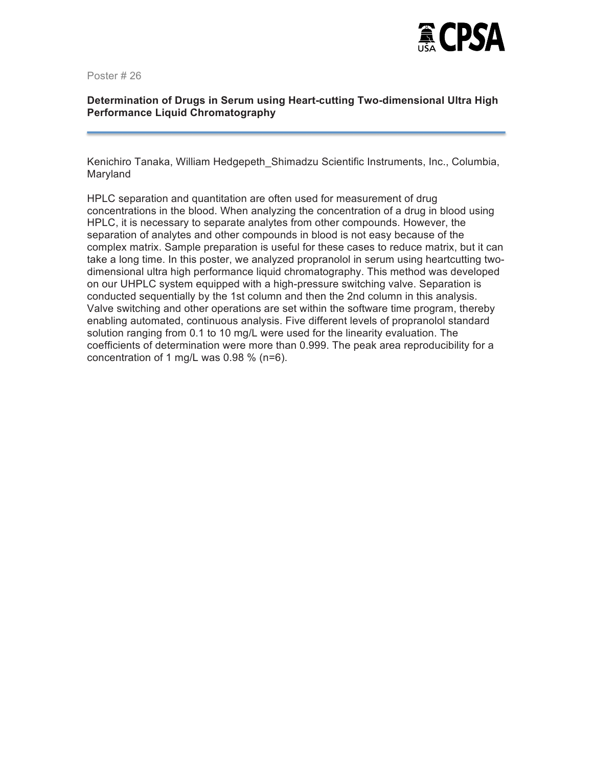

# **Determination of Drugs in Serum using Heart-cutting Two-dimensional Ultra High Performance Liquid Chromatography**

Kenichiro Tanaka, William Hedgepeth\_Shimadzu Scientific Instruments, Inc., Columbia, Maryland

HPLC separation and quantitation are often used for measurement of drug concentrations in the blood. When analyzing the concentration of a drug in blood using HPLC, it is necessary to separate analytes from other compounds. However, the separation of analytes and other compounds in blood is not easy because of the complex matrix. Sample preparation is useful for these cases to reduce matrix, but it can take a long time. In this poster, we analyzed propranolol in serum using heartcutting twodimensional ultra high performance liquid chromatography. This method was developed on our UHPLC system equipped with a high-pressure switching valve. Separation is conducted sequentially by the 1st column and then the 2nd column in this analysis. Valve switching and other operations are set within the software time program, thereby enabling automated, continuous analysis. Five different levels of propranolol standard solution ranging from 0.1 to 10 mg/L were used for the linearity evaluation. The coefficients of determination were more than 0.999. The peak area reproducibility for a concentration of 1 mg/L was 0.98 % (n=6).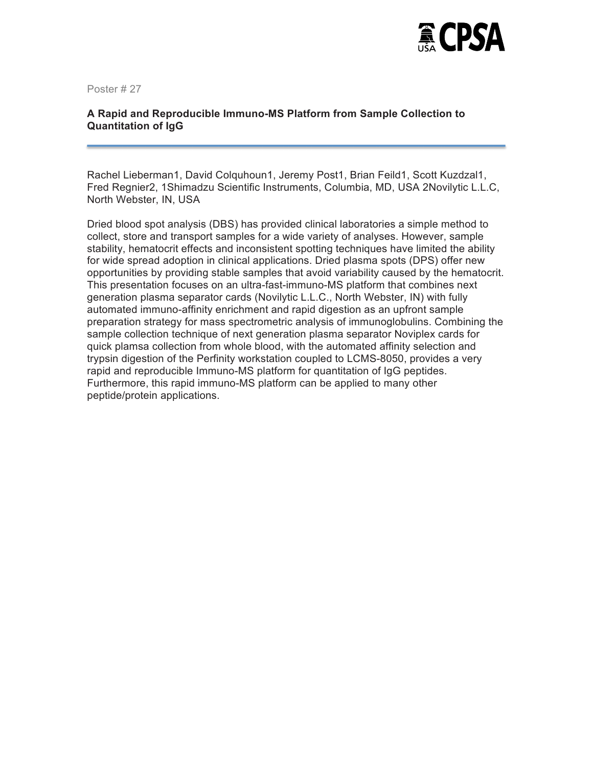

# **A Rapid and Reproducible Immuno-MS Platform from Sample Collection to Quantitation of IgG**

Rachel Lieberman1, David Colquhoun1, Jeremy Post1, Brian Feild1, Scott Kuzdzal1, Fred Regnier2, 1Shimadzu Scientific Instruments, Columbia, MD, USA 2Novilytic L.L.C, North Webster, IN, USA

Dried blood spot analysis (DBS) has provided clinical laboratories a simple method to collect, store and transport samples for a wide variety of analyses. However, sample stability, hematocrit effects and inconsistent spotting techniques have limited the ability for wide spread adoption in clinical applications. Dried plasma spots (DPS) offer new opportunities by providing stable samples that avoid variability caused by the hematocrit. This presentation focuses on an ultra-fast-immuno-MS platform that combines next generation plasma separator cards (Novilytic L.L.C., North Webster, IN) with fully automated immuno-affinity enrichment and rapid digestion as an upfront sample preparation strategy for mass spectrometric analysis of immunoglobulins. Combining the sample collection technique of next generation plasma separator Noviplex cards for quick plamsa collection from whole blood, with the automated affinity selection and trypsin digestion of the Perfinity workstation coupled to LCMS-8050, provides a very rapid and reproducible Immuno-MS platform for quantitation of IgG peptides. Furthermore, this rapid immuno-MS platform can be applied to many other peptide/protein applications.